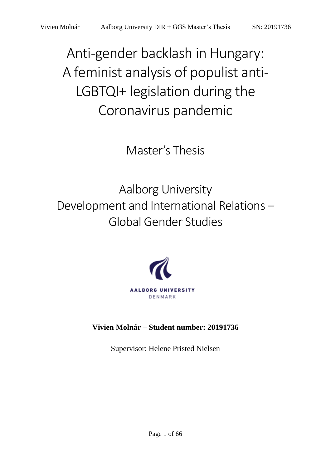Anti-gender backlash in Hungary: A feminist analysis of populist anti-LGBTQI+ legislation during the Coronavirus pandemic

Master's Thesis

Aalborg University Development and International Relations – Global Gender Studies



**Vivien Molnár – Student number: 20191736**

Supervisor: Helene Pristed Nielsen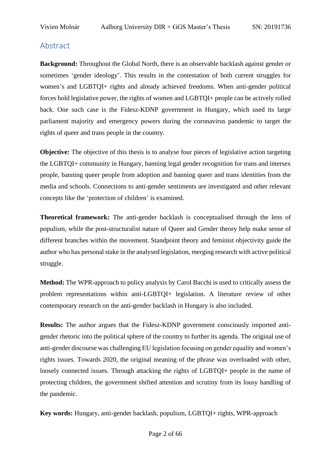# <span id="page-1-0"></span>Abstract

**Background:** Throughout the Global North, there is an observable backlash against gender or sometimes 'gender ideology'. This results in the contestation of both current struggles for women's and LGBTQI+ rights and already achieved freedoms. When anti-gender political forces hold legislative power, the rights of women and LGBTQI+ people can be actively rolled back. One such case is the Fidesz-KDNP government in Hungary, which used its large parliament majority and emergency powers during the coronavirus pandemic to target the rights of queer and trans people in the country.

**Objective:** The objective of this thesis is to analyse four pieces of legislative action targeting the LGBTQI+ community in Hungary, banning legal gender recognition for trans and intersex people, banning queer people from adoption and banning queer and trans identities from the media and schools. Connections to anti-gender sentiments are investigated and other relevant concepts like the 'protection of children' is examined.

**Theoretical framework:** The anti-gender backlash is conceptualised through the lens of populism, while the post-structuralist nature of Queer and Gender theory help make sense of different branches within the movement. Standpoint theory and feminist objectivity guide the author who has personal stake in the analysed legislation, merging research with active political struggle.

**Method:** The WPR-approach to policy analysis by Carol Bacchi is used to critically assess the problem representations within anti-LGBTQI+ legislation. A literature review of other contemporary research on the anti-gender backlash in Hungary is also included.

**Results:** The author argues that the Fidesz-KDNP government consciously imported antigender rhetoric into the political sphere of the country to further its agenda. The original use of anti-gender discourse was challenging EU legislation focusing on gender equality and women's rights issues. Towards 2020, the original meaning of the phrase was overloaded with other, loosely connected issues. Through attacking the rights of LGBTQI+ people in the name of protecting children, the government shifted attention and scrutiny from its lousy handling of the pandemic.

**Key words:** Hungary, anti-gender backlash, populism, LGBTQI+ rights, WPR-approach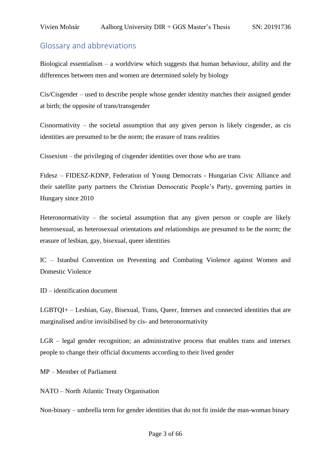# <span id="page-2-0"></span>Glossary and abbreviations

Biological essentialism – a worldview which suggests that human behaviour, ability and the differences between men and women are determined solely by biology

Cis/Cisgender – used to describe people whose gender identity matches their assigned gender at birth; the opposite of trans/transgender

Cisnormativity – the societal assumption that any given person is likely cisgender, as cis identities are presumed to be the norm; the erasure of trans realities

Cissexism – the privileging of cisgender identities over those who are trans

Fidesz – FIDESZ-KDNP, Federation of Young Democrats - Hungarian Civic Alliance and their satellite party partners the Christian Democratic People's Party, governing parties in Hungary since 2010

Heteronormativity – the societal assumption that any given person or couple are likely heterosexual, as heterosexual orientations and relationships are presumed to be the norm; the erasure of lesbian, gay, bisexual, queer identities

IC – Istanbul Convention on Preventing and Combating Violence against Women and Domestic Violence

ID – identification document

LGBTQI+ – Lesbian, Gay, Bisexual, Trans, Queer, Intersex and connected identities that are marginalised and/or invisibilised by cis- and heteronormativity

LGR – legal gender recognition; an administrative process that enables trans and intersex people to change their official documents according to their lived gender

MP – Member of Parliament

NATO – North Atlantic Treaty Organisation

Non-binary – umbrella term for gender identities that do not fit inside the man-woman binary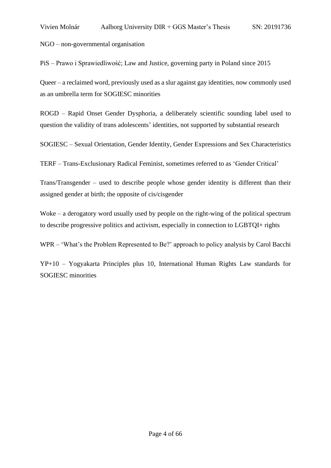NGO – non-governmental organisation

PiS – Prawo i Sprawiedliwość; Law and Justice, governing party in Poland since 2015

Queer – a reclaimed word, previously used as a slur against gay identities, now commonly used as an umbrella term for SOGIESC minorities

ROGD – Rapid Onset Gender Dysphoria, a deliberately scientific sounding label used to question the validity of trans adolescents' identities, not supported by substantial research

SOGIESC – Sexual Orientation, Gender Identity, Gender Expressions and Sex Characteristics

TERF – Trans-Exclusionary Radical Feminist, sometimes referred to as 'Gender Critical'

Trans/Transgender – used to describe people whose gender identity is different than their assigned gender at birth; the opposite of cis/cisgender

Woke – a derogatory word usually used by people on the right-wing of the political spectrum to describe progressive politics and activism, especially in connection to LGBTQI+ rights

WPR – 'What's the Problem Represented to Be?' approach to policy analysis by Carol Bacchi

YP+10 – Yogyakarta Principles plus 10, International Human Rights Law standards for SOGIESC minorities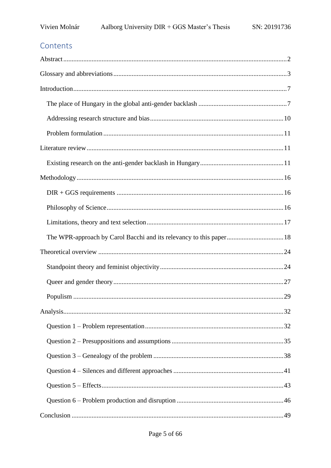# Contents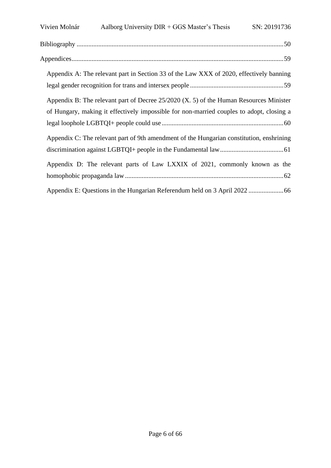| Vivien Molnár                                                                            | Aalborg University $DIR + GGS$ Master's Thesis                                           | SN: 20191736 |
|------------------------------------------------------------------------------------------|------------------------------------------------------------------------------------------|--------------|
|                                                                                          |                                                                                          |              |
|                                                                                          |                                                                                          |              |
|                                                                                          | Appendix A: The relevant part in Section 33 of the Law XXX of 2020, effectively banning  |              |
|                                                                                          |                                                                                          |              |
| Appendix B: The relevant part of Decree $25/2020$ (X. 5) of the Human Resources Minister |                                                                                          |              |
|                                                                                          | of Hungary, making it effectively impossible for non-married couples to adopt, closing a |              |
|                                                                                          |                                                                                          |              |
|                                                                                          | Appendix C: The relevant part of 9th amendment of the Hungarian constitution, enshrining |              |
|                                                                                          |                                                                                          |              |
|                                                                                          | Appendix D: The relevant parts of Law LXXIX of 2021, commonly known as the               |              |
|                                                                                          |                                                                                          |              |
|                                                                                          |                                                                                          |              |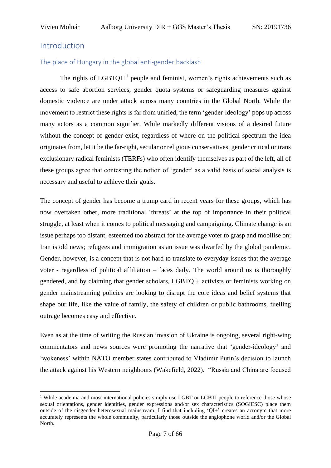# <span id="page-6-0"></span>Introduction

## <span id="page-6-1"></span>The place of Hungary in the global anti-gender backlash

The rights of  $LGBTQI<sup>+1</sup>$  people and feminist, women's rights achievements such as access to safe abortion services, gender quota systems or safeguarding measures against domestic violence are under attack across many countries in the Global North. While the movement to restrict these rights is far from unified, the term 'gender-ideology' pops up across many actors as a common signifier. While markedly different visions of a desired future without the concept of gender exist, regardless of where on the political spectrum the idea originates from, let it be the far-right, secular or religious conservatives, gender critical or trans exclusionary radical feminists (TERFs) who often identify themselves as part of the left, all of these groups agree that contesting the notion of 'gender' as a valid basis of social analysis is necessary and useful to achieve their goals.

The concept of gender has become a trump card in recent years for these groups, which has now overtaken other, more traditional 'threats' at the top of importance in their political struggle, at least when it comes to political messaging and campaigning. Climate change is an issue perhaps too distant, esteemed too abstract for the average voter to grasp and mobilise on; Iran is old news; refugees and immigration as an issue was dwarfed by the global pandemic. Gender, however, is a concept that is not hard to translate to everyday issues that the average voter - regardless of political affiliation – faces daily. The world around us is thoroughly gendered, and by claiming that gender scholars, LGBTQI+ activists or feminists working on gender mainstreaming policies are looking to disrupt the core ideas and belief systems that shape our life, like the value of family, the safety of children or public bathrooms, fuelling outrage becomes easy and effective.

Even as at the time of writing the Russian invasion of Ukraine is ongoing, several right-wing commentators and news sources were promoting the narrative that 'gender-ideology' and 'wokeness' within NATO member states contributed to Vladimir Putin's decision to launch the attack against his Western neighbours (Wakefield, 2022). "Russia and China are focused

<sup>&</sup>lt;sup>1</sup> While academia and most international policies simply use LGBT or LGBTI people to reference those whose sexual orientations, gender identities, gender expressions and/or sex characteristics (SOGIESC) place them outside of the cisgender heterosexual mainstream, I find that including 'QI+' creates an acronym that more accurately represents the whole community, particularly those outside the anglophone world and/or the Global North.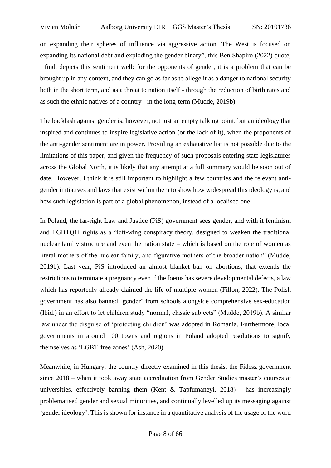on expanding their spheres of influence via aggressive action. The West is focused on expanding its national debt and exploding the gender binary", this Ben Shapiro (2022) quote, I find, depicts this sentiment well: for the opponents of gender, it is a problem that can be brought up in any context, and they can go as far as to allege it as a danger to national security both in the short term, and as a threat to nation itself - through the reduction of birth rates and as such the ethnic natives of a country - in the long-term (Mudde, 2019b).

The backlash against gender is, however, not just an empty talking point, but an ideology that inspired and continues to inspire legislative action (or the lack of it), when the proponents of the anti-gender sentiment are in power. Providing an exhaustive list is not possible due to the limitations of this paper, and given the frequency of such proposals entering state legislatures across the Global North, it is likely that any attempt at a full summary would be soon out of date. However, I think it is still important to highlight a few countries and the relevant antigender initiatives and laws that exist within them to show how widespread this ideology is, and how such legislation is part of a global phenomenon, instead of a localised one.

In Poland, the far-right Law and Justice (PiS) government sees gender, and with it feminism and LGBTQI+ rights as a "left-wing conspiracy theory, designed to weaken the traditional nuclear family structure and even the nation state – which is based on the role of women as literal mothers of the nuclear family, and figurative mothers of the broader nation" (Mudde, 2019b). Last year, PiS introduced an almost blanket ban on abortions, that extends the restrictions to terminate a pregnancy even if the foetus has severe developmental defects, a law which has reportedly already claimed the life of multiple women (Fillon, 2022). The Polish government has also banned 'gender' from schools alongside comprehensive sex-education (Ibid.) in an effort to let children study "normal, classic subjects" (Mudde, 2019b). A similar law under the disguise of 'protecting children' was adopted in Romania. Furthermore, local governments in around 100 towns and regions in Poland adopted resolutions to signify themselves as 'LGBT-free zones' (Ash, 2020).

Meanwhile, in Hungary, the country directly examined in this thesis, the Fidesz government since 2018 – when it took away state accreditation from Gender Studies master's courses at universities, effectively banning them (Kent & Tapfumaneyi, 2018) - has increasingly problematised gender and sexual minorities, and continually levelled up its messaging against 'gender ideology'. This is shown for instance in a quantitative analysis of the usage of the word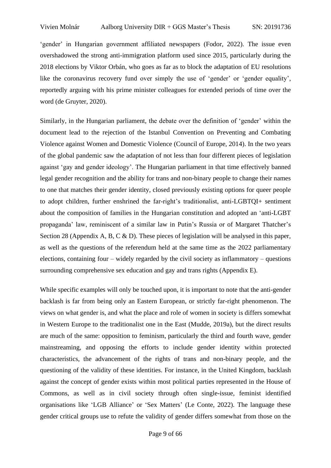'gender' in Hungarian government affiliated newspapers (Fodor, 2022). The issue even overshadowed the strong anti-immigration platform used since 2015, particularly during the 2018 elections by Viktor Orbán, who goes as far as to block the adaptation of EU resolutions like the coronavirus recovery fund over simply the use of 'gender' or 'gender equality', reportedly arguing with his prime minister colleagues for extended periods of time over the word (de Gruyter, 2020).

Similarly, in the Hungarian parliament, the debate over the definition of 'gender' within the document lead to the rejection of the Istanbul Convention on Preventing and Combating Violence against Women and Domestic Violence (Council of Europe, 2014). In the two years of the global pandemic saw the adaptation of not less than four different pieces of legislation against 'gay and gender ideology'. The Hungarian parliament in that time effectively banned legal gender recognition and the ability for trans and non-binary people to change their names to one that matches their gender identity, closed previously existing options for queer people to adopt children, further enshrined the far-right's traditionalist, anti-LGBTQI+ sentiment about the composition of families in the Hungarian constitution and adopted an 'anti-LGBT propaganda' law, reminiscent of a similar law in Putin's Russia or of Margaret Thatcher's Section 28 (Appendix A, B, C & D). These pieces of legislation will be analysed in this paper, as well as the questions of the referendum held at the same time as the 2022 parliamentary elections, containing four – widely regarded by the civil society as inflammatory – questions surrounding comprehensive sex education and gay and trans rights (Appendix E).

While specific examples will only be touched upon, it is important to note that the anti-gender backlash is far from being only an Eastern European, or strictly far-right phenomenon. The views on what gender is, and what the place and role of women in society is differs somewhat in Western Europe to the traditionalist one in the East (Mudde, 2019a), but the direct results are much of the same: opposition to feminism, particularly the third and fourth wave, gender mainstreaming, and opposing the efforts to include gender identity within protected characteristics, the advancement of the rights of trans and non-binary people, and the questioning of the validity of these identities. For instance, in the United Kingdom, backlash against the concept of gender exists within most political parties represented in the House of Commons, as well as in civil society through often single-issue, feminist identified organisations like 'LGB Alliance' or 'Sex Matters' (Le Conte, 2022). The language these gender critical groups use to refute the validity of gender differs somewhat from those on the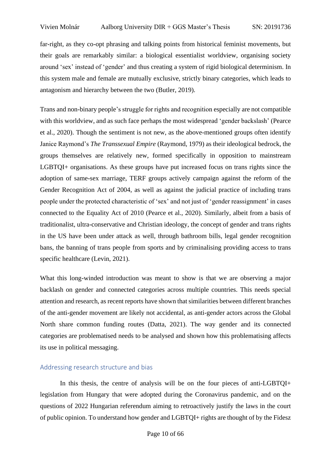far-right, as they co-opt phrasing and talking points from historical feminist movements, but their goals are remarkably similar: a biological essentialist worldview, organising society around 'sex' instead of 'gender' and thus creating a system of rigid biological determinism. In this system male and female are mutually exclusive, strictly binary categories, which leads to antagonism and hierarchy between the two (Butler, 2019).

Trans and non-binary people's struggle for rights and recognition especially are not compatible with this worldview, and as such face perhaps the most widespread 'gender backslash' (Pearce et al., 2020). Though the sentiment is not new, as the above-mentioned groups often identify Janice Raymond's *The Transsexual Empire* (Raymond, 1979) as their ideological bedrock, the groups themselves are relatively new, formed specifically in opposition to mainstream LGBTQI+ organisations. As these groups have put increased focus on trans rights since the adoption of same-sex marriage, TERF groups actively campaign against the reform of the Gender Recognition Act of 2004, as well as against the judicial practice of including trans people under the protected characteristic of 'sex' and not just of 'gender reassignment' in cases connected to the Equality Act of 2010 (Pearce et al., 2020). Similarly, albeit from a basis of traditionalist, ultra-conservative and Christian ideology, the concept of gender and trans rights in the US have been under attack as well, through bathroom bills, legal gender recognition bans, the banning of trans people from sports and by criminalising providing access to trans specific healthcare (Levin, 2021).

What this long-winded introduction was meant to show is that we are observing a major backlash on gender and connected categories across multiple countries. This needs special attention and research, as recent reports have shown that similarities between different branches of the anti-gender movement are likely not accidental, as anti-gender actors across the Global North share common funding routes (Datta, 2021). The way gender and its connected categories are problematised needs to be analysed and shown how this problematising affects its use in political messaging.

# <span id="page-9-0"></span>Addressing research structure and bias

In this thesis, the centre of analysis will be on the four pieces of anti-LGBTQI+ legislation from Hungary that were adopted during the Coronavirus pandemic, and on the questions of 2022 Hungarian referendum aiming to retroactively justify the laws in the court of public opinion. To understand how gender and LGBTQI+ rights are thought of by the Fidesz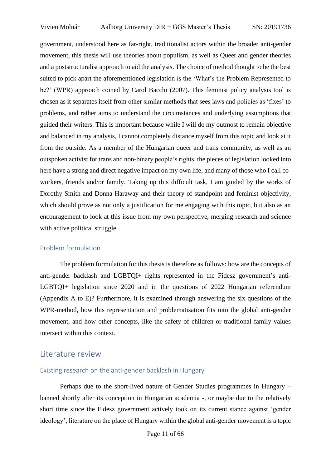government, understood here as far-right, traditionalist actors within the broader anti-gender movement, this thesis will use theories about populism, as well as Queer and gender theories and a poststructuralist approach to aid the analysis. The choice of method thought to be the best suited to pick apart the aforementioned legislation is the 'What's the Problem Represented to be?' (WPR) approach coined by Carol Bacchi (2007). This feminist policy analysis tool is chosen as it separates itself from other similar methods that sees laws and policies as 'fixes' to problems, and rather aims to understand the circumstances and underlying assumptions that guided their writers. This is important because while I will do my outmost to remain objective and balanced in my analysis, I cannot completely distance myself from this topic and look at it from the outside. As a member of the Hungarian queer and trans community, as well as an outspoken activist for trans and non-binary people's rights, the pieces of legislation looked into here have a strong and direct negative impact on my own life, and many of those who I call coworkers, friends and/or family. Taking up this difficult task, I am guided by the works of Dorothy Smith and Donna Haraway and their theory of standpoint and feminist objectivity, which should prove as not only a justification for me engaging with this topic, but also as an encouragement to look at this issue from my own perspective, merging research and science with active political struggle.

#### <span id="page-10-0"></span>Problem formulation

The problem formulation for this thesis is therefore as follows: how are the concepts of anti-gender backlash and LGBTQI+ rights represented in the Fidesz government's anti-LGBTQI+ legislation since 2020 and in the questions of 2022 Hungarian referendum (Appendix A to E)? Furthermore, it is examined through answering the six questions of the WPR-method, how this representation and problematisation fits into the global anti-gender movement, and how other concepts, like the safety of children or traditional family values intersect within this context.

## <span id="page-10-1"></span>Literature review

## <span id="page-10-2"></span>Existing research on the anti-gender backlash in Hungary

Perhaps due to the short-lived nature of Gender Studies programmes in Hungary – banned shortly after its conception in Hungarian academia -, or maybe due to the relatively short time since the Fidesz government actively took on its current stance against 'gender ideology', literature on the place of Hungary within the global anti-gender movement is a topic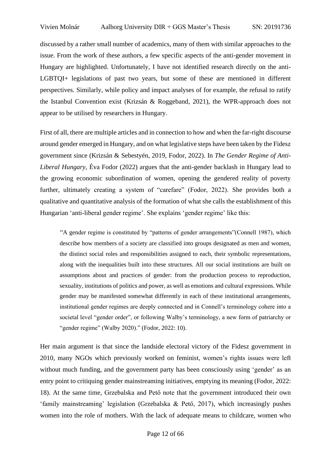discussed by a rather small number of academics, many of them with similar approaches to the issue. From the work of these authors, a few specific aspects of the anti-gender movement in Hungary are highlighted. Unfortunately, I have not identified research directly on the anti-LGBTQI+ legislations of past two years, but some of these are mentioned in different perspectives. Similarly, while policy and impact analyses of for example, the refusal to ratify the Istanbul Convention exist (Krizsán & Roggeband, 2021), the WPR-approach does not appear to be utilised by researchers in Hungary.

First of all, there are multiple articles and in connection to how and when the far-right discourse around gender emerged in Hungary, and on what legislative steps have been taken by the Fidesz government since (Krizsán & Sebestyén, 2019, Fodor, 2022). In *The Gender Regime of Anti-Liberal Hungary*, Éva Fodor (2022) argues that the anti-gender backlash in Hungary lead to the growing economic subordination of women, opening the gendered reality of poverty further, ultimately creating a system of "carefare" (Fodor, 2022). She provides both a qualitative and quantitative analysis of the formation of what she calls the establishment of this Hungarian 'anti-liberal gender regime'. She explains 'gender regime' like this:

"A gender regime is constituted by "patterns of gender arrangements"(Connell 1987), which describe how members of a society are classified into groups designated as men and women, the distinct social roles and responsibilities assigned to each, their symbolic representations, along with the inequalities built into these structures. All our social institutions are built on assumptions about and practices of gender: from the production process to reproduction, sexuality, institutions of politics and power, as well as emotions and cultural expressions. While gender may be manifested somewhat differently in each of these institutional arrangements, institutional gender regimes are deeply connected and in Connell's terminology cohere into a societal level "gender order", or following Walby's terminology, a new form of patriarchy or "gender regime" (Walby 2020)." (Fodor, 2022: 10).

Her main argument is that since the landside electoral victory of the Fidesz government in 2010, many NGOs which previously worked on feminist, women's rights issues were left without much funding, and the government party has been consciously using 'gender' as an entry point to critiquing gender mainstreaming initiatives, emptying its meaning (Fodor, 2022: 18). At the same time, Grzebalska and Pető note that the government introduced their own 'family mainstreaming' legislation (Grzebalska & Pető, 2017), which increasingly pushes women into the role of mothers. With the lack of adequate means to childcare, women who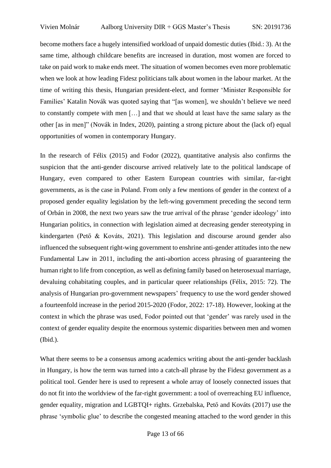become mothers face a hugely intensified workload of unpaid domestic duties (Ibid.: 3). At the same time, although childcare benefits are increased in duration, most women are forced to take on paid work to make ends meet. The situation of women becomes even more problematic when we look at how leading Fidesz politicians talk about women in the labour market. At the time of writing this thesis, Hungarian president-elect, and former 'Minister Responsible for Families' Katalin Novák was quoted saying that "[as women], we shouldn't believe we need to constantly compete with men […] and that we should at least have the same salary as the other [as in men]" (Novák in Index, 2020), painting a strong picture about the (lack of) equal opportunities of women in contemporary Hungary.

In the research of Félix (2015) and Fodor (2022), quantitative analysis also confirms the suspicion that the anti-gender discourse arrived relatively late to the political landscape of Hungary, even compared to other Eastern European countries with similar, far-right governments, as is the case in Poland. From only a few mentions of gender in the context of a proposed gender equality legislation by the left-wing government preceding the second term of Orbán in 2008, the next two years saw the true arrival of the phrase 'gender ideology' into Hungarian politics, in connection with legislation aimed at decreasing gender stereotyping in kindergarten (Pető & Kováts, 2021). This legislation and discourse around gender also influenced the subsequent right-wing government to enshrine anti-gender attitudes into the new Fundamental Law in 2011, including the anti-abortion access phrasing of guaranteeing the human right to life from conception, as well as defining family based on heterosexual marriage, devaluing cohabitating couples, and in particular queer relationships (Félix, 2015: 72). The analysis of Hungarian pro-government newspapers' frequency to use the word gender showed a fourteenfold increase in the period 2015-2020 (Fodor, 2022: 17-18). However, looking at the context in which the phrase was used, Fodor pointed out that 'gender' was rarely used in the context of gender equality despite the enormous systemic disparities between men and women (Ibid.).

What there seems to be a consensus among academics writing about the anti-gender backlash in Hungary, is how the term was turned into a catch-all phrase by the Fidesz government as a political tool. Gender here is used to represent a whole array of loosely connected issues that do not fit into the worldview of the far-right government: a tool of overreaching EU influence, gender equality, migration and LGBTQI+ rights. Grzebalska, Pető and Kováts (2017) use the phrase 'symbolic glue' to describe the congested meaning attached to the word gender in this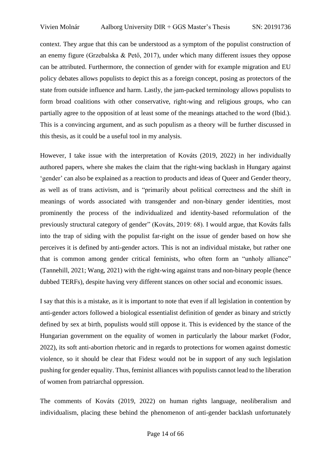context. They argue that this can be understood as a symptom of the populist construction of an enemy figure (Grzebalska & Pető, 2017), under which many different issues they oppose can be attributed. Furthermore, the connection of gender with for example migration and EU policy debates allows populists to depict this as a foreign concept, posing as protectors of the state from outside influence and harm. Lastly, the jam-packed terminology allows populists to form broad coalitions with other conservative, right-wing and religious groups, who can partially agree to the opposition of at least some of the meanings attached to the word (Ibid.). This is a convincing argument, and as such populism as a theory will be further discussed in this thesis, as it could be a useful tool in my analysis.

However, I take issue with the interpretation of Kováts (2019, 2022) in her individually authored papers, where she makes the claim that the right-wing backlash in Hungary against 'gender' can also be explained as a reaction to products and ideas of Queer and Gender theory, as well as of trans activism, and is "primarily about political correctness and the shift in meanings of words associated with transgender and non-binary gender identities, most prominently the process of the individualized and identity-based reformulation of the previously structural category of gender" (Kováts, 2019: 68). I would argue, that Kováts falls into the trap of siding with the populist far-right on the issue of gender based on how she perceives it is defined by anti-gender actors. This is not an individual mistake, but rather one that is common among gender critical feminists, who often form an "unholy alliance" (Tannehill, 2021; Wang, 2021) with the right-wing against trans and non-binary people (hence dubbed TERFs), despite having very different stances on other social and economic issues.

I say that this is a mistake, as it is important to note that even if all legislation in contention by anti-gender actors followed a biological essentialist definition of gender as binary and strictly defined by sex at birth, populists would still oppose it. This is evidenced by the stance of the Hungarian government on the equality of women in particularly the labour market (Fodor, 2022), its soft anti-abortion rhetoric and in regards to protections for women against domestic violence, so it should be clear that Fidesz would not be in support of any such legislation pushing for gender equality. Thus, feminist alliances with populists cannot lead to the liberation of women from patriarchal oppression.

The comments of Kováts (2019, 2022) on human rights language, neoliberalism and individualism, placing these behind the phenomenon of anti-gender backlash unfortunately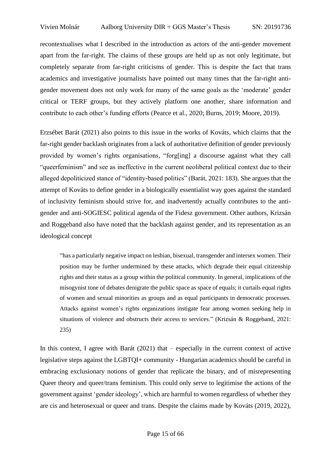recontextualises what I described in the introduction as actors of the anti-gender movement apart from the far-right. The claims of these groups are held up as not only legitimate, but completely separate from far-right criticisms of gender. This is despite the fact that trans academics and investigative journalists have pointed out many times that the far-right antigender movement does not only work for many of the same goals as the 'moderate' gender critical or TERF groups, but they actively platform one another, share information and contribute to each other's funding efforts (Pearce et al., 2020; Burns, 2019; Moore, 2019).

Erzsébet Barát (2021) also points to this issue in the works of Kováts, which claims that the far-right gender backlash originates from a lack of authoritative definition of gender previously provided by women's rights organisations, "forg[ing] a discourse against what they call "queerfeminism" and see as ineffective in the current neoliberal political context due to their alleged depoliticized stance of "identity-based politics" (Barát, 2021: 183). She argues that the attempt of Kováts to define gender in a biologically essentialist way goes against the standard of inclusivity feminism should strive for, and inadvertently actually contributes to the antigender and anti-SOGIESC political agenda of the Fidesz government. Other authors, Krizsán and Roggeband also have noted that the backlash against gender, and its representation as an ideological concept

"has a particularly negative impact on lesbian, bisexual, transgender and intersex women. Their position may be further undermined by these attacks, which degrade their equal citizenship rights and their status as a group within the political community. In general, implications of the misogynist tone of debates denigrate the public space as space of equals; it curtails equal rights of women and sexual minorities as groups and as equal participants in democratic processes. Attacks against women's rights organizations instigate fear among women seeking help in situations of violence and obstructs their access to services." (Krizsán & Roggeband, 2021: 235)

In this context, I agree with Barát (2021) that – especially in the current context of active legislative steps against the LGBTQI+ community - Hungarian academics should be careful in embracing exclusionary notions of gender that replicate the binary, and of misrepresenting Queer theory and queer/trans feminism. This could only serve to legitimise the actions of the government against 'gender ideology', which are harmful to women regardless of whether they are cis and heterosexual or queer and trans. Despite the claims made by Kováts (2019, 2022),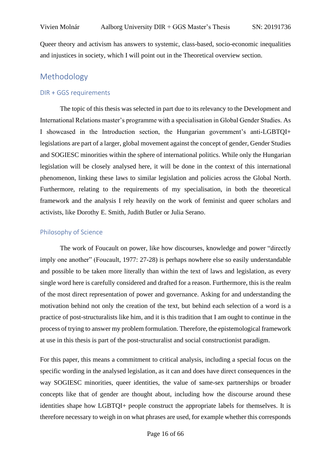Queer theory and activism has answers to systemic, class-based, socio-economic inequalities and injustices in society, which I will point out in the Theoretical overview section.

# <span id="page-15-0"></span>Methodology

#### <span id="page-15-1"></span>DIR + GGS requirements

The topic of this thesis was selected in part due to its relevancy to the Development and International Relations master's programme with a specialisation in Global Gender Studies. As I showcased in the Introduction section, the Hungarian government's anti-LGBTQI+ legislations are part of a larger, global movement against the concept of gender, Gender Studies and SOGIESC minorities within the sphere of international politics. While only the Hungarian legislation will be closely analysed here, it will be done in the context of this international phenomenon, linking these laws to similar legislation and policies across the Global North. Furthermore, relating to the requirements of my specialisation, in both the theoretical framework and the analysis I rely heavily on the work of feminist and queer scholars and activists, like Dorothy E. Smith, Judith Butler or Julia Serano.

#### <span id="page-15-2"></span>Philosophy of Science

The work of Foucault on power, like how discourses, knowledge and power "directly imply one another" (Foucault, 1977: 27-28) is perhaps nowhere else so easily understandable and possible to be taken more literally than within the text of laws and legislation, as every single word here is carefully considered and drafted for a reason. Furthermore, this is the realm of the most direct representation of power and governance. Asking for and understanding the motivation behind not only the creation of the text, but behind each selection of a word is a practice of post-structuralists like him, and it is this tradition that I am ought to continue in the process of trying to answer my problem formulation. Therefore, the epistemological framework at use in this thesis is part of the post-structuralist and social constructionist paradigm.

For this paper, this means a commitment to critical analysis, including a special focus on the specific wording in the analysed legislation, as it can and does have direct consequences in the way SOGIESC minorities, queer identities, the value of same-sex partnerships or broader concepts like that of gender are thought about, including how the discourse around these identities shape how LGBTQI+ people construct the appropriate labels for themselves. It is therefore necessary to weigh in on what phrases are used, for example whether this corresponds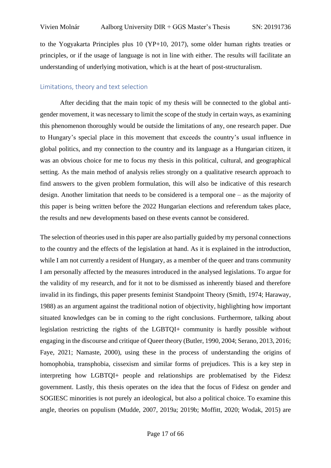to the Yogyakarta Principles plus 10 (YP+10, 2017), some older human rights treaties or principles, or if the usage of language is not in line with either. The results will facilitate an understanding of underlying motivation, which is at the heart of post-structuralism.

#### <span id="page-16-0"></span>Limitations, theory and text selection

After deciding that the main topic of my thesis will be connected to the global antigender movement, it was necessary to limit the scope of the study in certain ways, as examining this phenomenon thoroughly would be outside the limitations of any, one research paper. Due to Hungary's special place in this movement that exceeds the country's usual influence in global politics, and my connection to the country and its language as a Hungarian citizen, it was an obvious choice for me to focus my thesis in this political, cultural, and geographical setting. As the main method of analysis relies strongly on a qualitative research approach to find answers to the given problem formulation, this will also be indicative of this research design. Another limitation that needs to be considered is a temporal one – as the majority of this paper is being written before the 2022 Hungarian elections and referendum takes place, the results and new developments based on these events cannot be considered.

The selection of theories used in this paper are also partially guided by my personal connections to the country and the effects of the legislation at hand. As it is explained in the introduction, while I am not currently a resident of Hungary, as a member of the queer and trans community I am personally affected by the measures introduced in the analysed legislations. To argue for the validity of my research, and for it not to be dismissed as inherently biased and therefore invalid in its findings, this paper presents feminist Standpoint Theory (Smith, 1974; Haraway, 1988) as an argument against the traditional notion of objectivity, highlighting how important situated knowledges can be in coming to the right conclusions. Furthermore, talking about legislation restricting the rights of the LGBTQI+ community is hardly possible without engaging in the discourse and critique of Queer theory (Butler, 1990, 2004; Serano, 2013, 2016; Faye, 2021; Namaste, 2000), using these in the process of understanding the origins of homophobia, transphobia, cissexism and similar forms of prejudices. This is a key step in interpreting how LGBTQI+ people and relationships are problematised by the Fidesz government. Lastly, this thesis operates on the idea that the focus of Fidesz on gender and SOGIESC minorities is not purely an ideological, but also a political choice. To examine this angle, theories on populism (Mudde, 2007, 2019a; 2019b; Moffitt, 2020; Wodak, 2015) are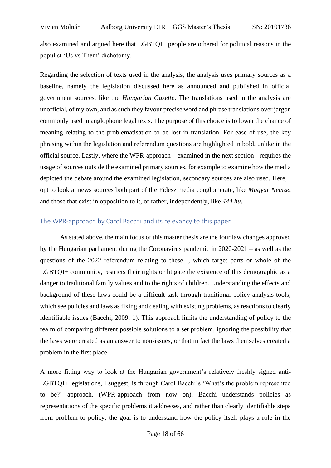also examined and argued here that LGBTQI+ people are othered for political reasons in the populist 'Us vs Them' dichotomy.

Regarding the selection of texts used in the analysis, the analysis uses primary sources as a baseline, namely the legislation discussed here as announced and published in official government sources, like the *Hungarian Gazette*. The translations used in the analysis are unofficial, of my own, and as such they favour precise word and phrase translations over jargon commonly used in anglophone legal texts. The purpose of this choice is to lower the chance of meaning relating to the problematisation to be lost in translation. For ease of use, the key phrasing within the legislation and referendum questions are highlighted in bold, unlike in the official source. Lastly, where the WPR-approach – examined in the next section - requires the usage of sources outside the examined primary sources, for example to examine how the media depicted the debate around the examined legislation, secondary sources are also used. Here, I opt to look at news sources both part of the Fidesz media conglomerate, like *Magyar Nemzet* and those that exist in opposition to it, or rather, independently, like *444.hu*.

## <span id="page-17-0"></span>The WPR-approach by Carol Bacchi and its relevancy to this paper

As stated above, the main focus of this master thesis are the four law changes approved by the Hungarian parliament during the Coronavirus pandemic in 2020-2021 – as well as the questions of the 2022 referendum relating to these -, which target parts or whole of the LGBTQI+ community, restricts their rights or litigate the existence of this demographic as a danger to traditional family values and to the rights of children. Understanding the effects and background of these laws could be a difficult task through traditional policy analysis tools, which see policies and laws as fixing and dealing with existing problems, as reactions to clearly identifiable issues (Bacchi, 2009: 1). This approach limits the understanding of policy to the realm of comparing different possible solutions to a set problem, ignoring the possibility that the laws were created as an answer to non-issues, or that in fact the laws themselves created a problem in the first place.

A more fitting way to look at the Hungarian government's relatively freshly signed anti-LGBTQI+ legislations, I suggest, is through Carol Bacchi's 'What's the problem represented to be?' approach, (WPR-approach from now on). Bacchi understands policies as representations of the specific problems it addresses, and rather than clearly identifiable steps from problem to policy, the goal is to understand how the policy itself plays a role in the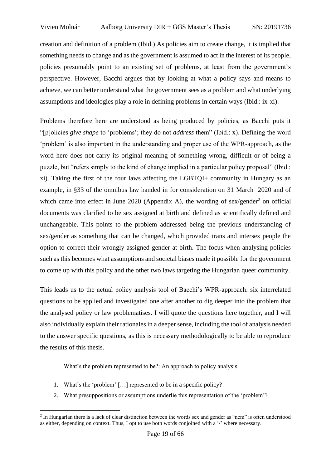creation and definition of a problem (Ibid.) As policies aim to create change, it is implied that something needs to change and as the government is assumed to act in the interest of its people, policies presumably point to an existing set of problems, at least from the government's perspective. However, Bacchi argues that by looking at what a policy says and means to achieve, we can better understand what the government sees as a problem and what underlying assumptions and ideologies play a role in defining problems in certain ways (Ibid.: ix-xi).

Problems therefore here are understood as being produced by policies, as Bacchi puts it "[p]olicies *give shape* to 'problems'; they do not *address* them" (Ibid.: x). Defining the word 'problem' is also important in the understanding and proper use of the WPR-approach, as the word here does not carry its original meaning of something wrong, difficult or of being a puzzle, but "refers simply to the kind of change implied in a particular policy proposal" (Ibid.: xi). Taking the first of the four laws affecting the LGBTQI+ community in Hungary as an example, in §33 of the omnibus law handed in for consideration on 31 March 2020 and of which came into effect in June 2020 (Appendix A), the wording of sex/gender<sup>2</sup> on official documents was clarified to be sex assigned at birth and defined as scientifically defined and unchangeable. This points to the problem addressed being the previous understanding of sex/gender as something that can be changed, which provided trans and intersex people the option to correct their wrongly assigned gender at birth. The focus when analysing policies such as this becomes what assumptions and societal biases made it possible for the government to come up with this policy and the other two laws targeting the Hungarian queer community.

This leads us to the actual policy analysis tool of Bacchi's WPR-approach: six interrelated questions to be applied and investigated one after another to dig deeper into the problem that the analysed policy or law problematises. I will quote the questions here together, and I will also individually explain their rationales in a deeper sense, including the tool of analysis needed to the answer specific questions, as this is necessary methodologically to be able to reproduce the results of this thesis.

What's the problem represented to be?: An approach to policy analysis

- 1. What's the 'problem' […] represented to be in a specific policy?
- 2. What presuppositions or assumptions underlie this representation of the 'problem'?

<sup>&</sup>lt;sup>2</sup> In Hungarian there is a lack of clear distinction between the words sex and gender as "nem" is often understood as either, depending on context. Thus, I opt to use both words conjoined with a '/' where necessary.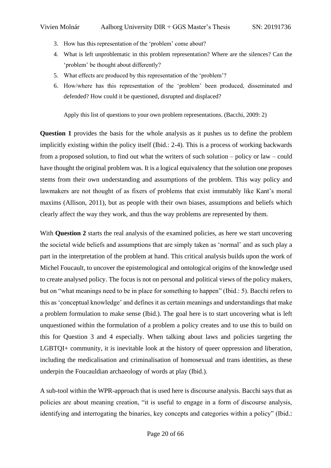- 3. How has this representation of the 'problem' come about?
- 4. What is left unproblematic in this problem representation? Where are the silences? Can the 'problem' be thought about differently?
- 5. What effects are produced by this representation of the 'problem'?
- 6. How/where has this representation of the 'problem' been produced, disseminated and defended? How could it be questioned, disrupted and displaced?

Apply this list of questions to your own problem representations. (Bacchi, 2009: 2)

**Question 1** provides the basis for the whole analysis as it pushes us to define the problem implicitly existing within the policy itself (Ibid.: 2-4). This is a process of working backwards from a proposed solution, to find out what the writers of such solution – policy or law – could have thought the original problem was. It is a logical equivalency that the solution one proposes stems from their own understanding and assumptions of the problem. This way policy and lawmakers are not thought of as fixers of problems that exist immutably like Kant's moral maxims (Allison, 2011), but as people with their own biases, assumptions and beliefs which clearly affect the way they work, and thus the way problems are represented by them.

With **Question 2** starts the real analysis of the examined policies, as here we start uncovering the societal wide beliefs and assumptions that are simply taken as 'normal' and as such play a part in the interpretation of the problem at hand. This critical analysis builds upon the work of Michel Foucault, to uncover the epistemological and ontological origins of the knowledge used to create analysed policy. The focus is not on personal and political views of the policy makers, but on "what meanings need to be in place for something to happen" (Ibid.: 5). Bacchi refers to this as 'conceptual knowledge' and defines it as certain meanings and understandings that make a problem formulation to make sense (Ibid.). The goal here is to start uncovering what is left unquestioned within the formulation of a problem a policy creates and to use this to build on this for Question 3 and 4 especially. When talking about laws and policies targeting the LGBTQI+ community, it is inevitable look at the history of queer oppression and liberation, including the medicalisation and criminalisation of homosexual and trans identities, as these underpin the Foucauldian archaeology of words at play (Ibid.).

A sub-tool within the WPR-approach that is used here is discourse analysis. Bacchi says that as policies are about meaning creation, "it is useful to engage in a form of discourse analysis, identifying and interrogating the binaries, key concepts and categories within a policy" (Ibid.: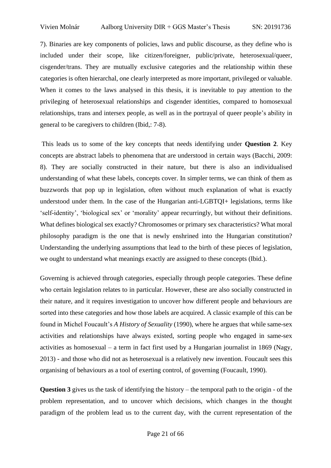7). Binaries are key components of policies, laws and public discourse, as they define who is included under their scope, like citizen/foreigner, public/private, heterosexual/queer, cisgender/trans. They are mutually exclusive categories and the relationship within these categories is often hierarchal, one clearly interpreted as more important, privileged or valuable. When it comes to the laws analysed in this thesis, it is inevitable to pay attention to the privileging of heterosexual relationships and cisgender identities, compared to homosexual relationships, trans and intersex people, as well as in the portrayal of queer people's ability in general to be caregivers to children (Ibid,: 7-8).

This leads us to some of the key concepts that needs identifying under **Question 2**. Key concepts are abstract labels to phenomena that are understood in certain ways (Bacchi, 2009: 8). They are socially constructed in their nature, but there is also an individualised understanding of what these labels, concepts cover. In simpler terms, we can think of them as buzzwords that pop up in legislation, often without much explanation of what is exactly understood under them. In the case of the Hungarian anti-LGBTQI+ legislations, terms like 'self-identity', 'biological sex' or 'morality' appear recurringly, but without their definitions. What defines biological sex exactly? Chromosomes or primary sex characteristics? What moral philosophy paradigm is the one that is newly enshrined into the Hungarian constitution? Understanding the underlying assumptions that lead to the birth of these pieces of legislation, we ought to understand what meanings exactly are assigned to these concepts (Ibid.).

Governing is achieved through categories, especially through people categories. These define who certain legislation relates to in particular. However, these are also socially constructed in their nature, and it requires investigation to uncover how different people and behaviours are sorted into these categories and how those labels are acquired. A classic example of this can be found in Michel Foucault's *A History of Sexuality* (1990), where he argues that while same-sex activities and relationships have always existed, sorting people who engaged in same-sex activities as homosexual – a term in fact first used by a Hungarian journalist in 1869 (Nagy, 2013) - and those who did not as heterosexual is a relatively new invention. Foucault sees this organising of behaviours as a tool of exerting control, of governing (Foucault, 1990).

**Question 3** gives us the task of identifying the history – the temporal path to the origin - of the problem representation, and to uncover which decisions, which changes in the thought paradigm of the problem lead us to the current day, with the current representation of the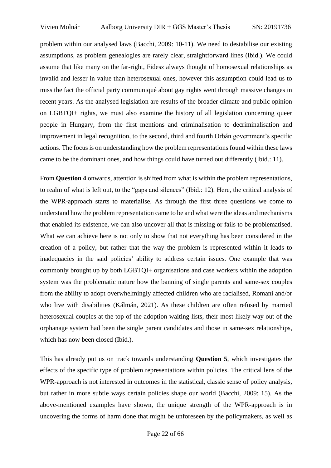problem within our analysed laws (Bacchi, 2009: 10-11). We need to destabilise our existing assumptions, as problem genealogies are rarely clear, straightforward lines (Ibid.). We could assume that like many on the far-right, Fidesz always thought of homosexual relationships as invalid and lesser in value than heterosexual ones, however this assumption could lead us to miss the fact the official party communiqué about gay rights went through massive changes in recent years. As the analysed legislation are results of the broader climate and public opinion on LGBTQI+ rights, we must also examine the history of all legislation concerning queer people in Hungary, from the first mentions and criminalisation to decriminalisation and improvement in legal recognition, to the second, third and fourth Orbán government's specific actions. The focus is on understanding how the problem representations found within these laws came to be the dominant ones, and how things could have turned out differently (Ibid.: 11).

From **Question 4** onwards, attention is shifted from what is within the problem representations, to realm of what is left out, to the "gaps and silences" (Ibid.: 12). Here, the critical analysis of the WPR-approach starts to materialise. As through the first three questions we come to understand how the problem representation came to be and what were the ideas and mechanisms that enabled its existence, we can also uncover all that is missing or fails to be problematised. What we can achieve here is not only to show that not everything has been considered in the creation of a policy, but rather that the way the problem is represented within it leads to inadequacies in the said policies' ability to address certain issues. One example that was commonly brought up by both LGBTQI+ organisations and case workers within the adoption system was the problematic nature how the banning of single parents and same-sex couples from the ability to adopt overwhelmingly affected children who are racialised, Romani and/or who live with disabilities (Kálmán, 2021). As these children are often refused by married heterosexual couples at the top of the adoption waiting lists, their most likely way out of the orphanage system had been the single parent candidates and those in same-sex relationships, which has now been closed (Ibid.).

This has already put us on track towards understanding **Question 5**, which investigates the effects of the specific type of problem representations within policies. The critical lens of the WPR-approach is not interested in outcomes in the statistical, classic sense of policy analysis, but rather in more subtle ways certain policies shape our world (Bacchi, 2009: 15). As the above-mentioned examples have shown, the unique strength of the WPR-approach is in uncovering the forms of harm done that might be unforeseen by the policymakers, as well as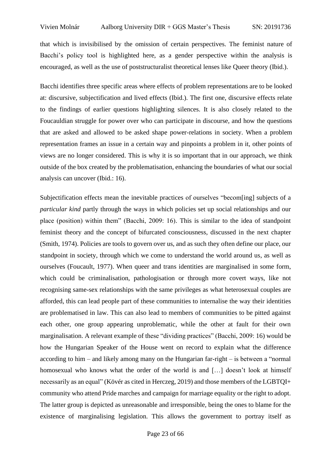that which is invisibilised by the omission of certain perspectives. The feminist nature of Bacchi's policy tool is highlighted here, as a gender perspective within the analysis is encouraged, as well as the use of poststructuralist theoretical lenses like Queer theory (Ibid.).

Bacchi identifies three specific areas where effects of problem representations are to be looked at: discursive, subjectification and lived effects (Ibid.). The first one, discursive effects relate to the findings of earlier questions highlighting silences. It is also closely related to the Foucauldian struggle for power over who can participate in discourse, and how the questions that are asked and allowed to be asked shape power-relations in society. When a problem representation frames an issue in a certain way and pinpoints a problem in it, other points of views are no longer considered. This is why it is so important that in our approach, we think outside of the box created by the problematisation, enhancing the boundaries of what our social analysis can uncover (Ibid.: 16).

Subjectification effects mean the inevitable practices of ourselves "becom[ing] subjects of a *particular kind* partly through the ways in which policies set up social relationships and our place (position) within them" (Bacchi, 2009: 16). This is similar to the idea of standpoint feminist theory and the concept of bifurcated consciousness, discussed in the next chapter (Smith, 1974). Policies are tools to govern over us, and as such they often define our place, our standpoint in society, through which we come to understand the world around us, as well as ourselves (Foucault, 1977). When queer and trans identities are marginalised in some form, which could be criminalisation, pathologisation or through more covert ways, like not recognising same-sex relationships with the same privileges as what heterosexual couples are afforded, this can lead people part of these communities to internalise the way their identities are problematised in law. This can also lead to members of communities to be pitted against each other, one group appearing unproblematic, while the other at fault for their own marginalisation. A relevant example of these "dividing practices" (Bacchi, 2009: 16) would be how the Hungarian Speaker of the House went on record to explain what the difference according to him – and likely among many on the Hungarian far-right – is between a "normal homosexual who knows what the order of the world is and [...] doesn't look at himself necessarily as an equal" (Kövér as cited in Herczeg, 2019) and those members of the LGBTQI+ community who attend Pride marches and campaign for marriage equality or the right to adopt. The latter group is depicted as unreasonable and irresponsible, being the ones to blame for the existence of marginalising legislation. This allows the government to portray itself as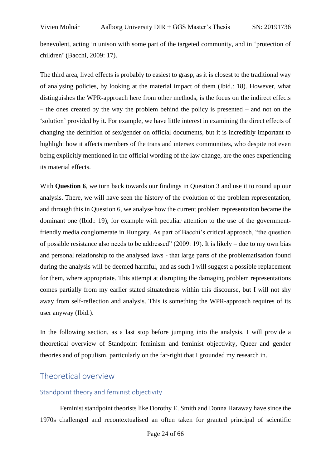benevolent, acting in unison with some part of the targeted community, and in 'protection of children' (Bacchi, 2009: 17).

The third area, lived effects is probably to easiest to grasp, as it is closest to the traditional way of analysing policies, by looking at the material impact of them (Ibid.: 18). However, what distinguishes the WPR-approach here from other methods, is the focus on the indirect effects – the ones created by the way the problem behind the policy is presented – and not on the 'solution' provided by it. For example, we have little interest in examining the direct effects of changing the definition of sex/gender on official documents, but it is incredibly important to highlight how it affects members of the trans and intersex communities, who despite not even being explicitly mentioned in the official wording of the law change, are the ones experiencing its material effects.

With **Question 6**, we turn back towards our findings in Question 3 and use it to round up our analysis. There, we will have seen the history of the evolution of the problem representation, and through this in Question 6, we analyse how the current problem representation became the dominant one (Ibid.: 19), for example with peculiar attention to the use of the governmentfriendly media conglomerate in Hungary. As part of Bacchi's critical approach, "the question of possible resistance also needs to be addressed" (2009: 19). It is likely – due to my own bias and personal relationship to the analysed laws - that large parts of the problematisation found during the analysis will be deemed harmful, and as such I will suggest a possible replacement for them, where appropriate. This attempt at disrupting the damaging problem representations comes partially from my earlier stated situatedness within this discourse, but I will not shy away from self-reflection and analysis. This is something the WPR-approach requires of its user anyway (Ibid.).

In the following section, as a last stop before jumping into the analysis, I will provide a theoretical overview of Standpoint feminism and feminist objectivity, Queer and gender theories and of populism, particularly on the far-right that I grounded my research in.

# <span id="page-23-0"></span>Theoretical overview

# <span id="page-23-1"></span>Standpoint theory and feminist objectivity

Feminist standpoint theorists like Dorothy E. Smith and Donna Haraway have since the 1970s challenged and recontextualised an often taken for granted principal of scientific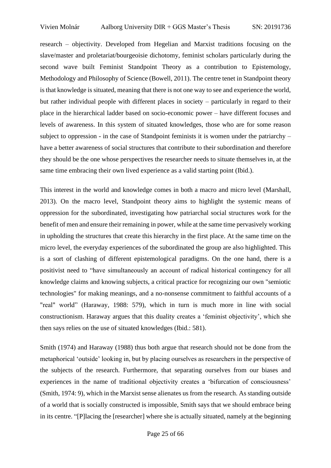research – objectivity. Developed from Hegelian and Marxist traditions focusing on the slave/master and proletariat/bourgeoisie dichotomy, feminist scholars particularly during the second wave built Feminist Standpoint Theory as a contribution to Epistemology, Methodology and Philosophy of Science (Bowell, 2011). The centre tenet in Standpoint theory is that knowledge is situated, meaning that there is not one way to see and experience the world, but rather individual people with different places in society – particularly in regard to their place in the hierarchical ladder based on socio-economic power – have different focuses and levels of awareness. In this system of situated knowledges, those who are for some reason subject to oppression - in the case of Standpoint feminists it is women under the patriarchy – have a better awareness of social structures that contribute to their subordination and therefore they should be the one whose perspectives the researcher needs to situate themselves in, at the same time embracing their own lived experience as a valid starting point (Ibid.).

This interest in the world and knowledge comes in both a macro and micro level (Marshall, 2013). On the macro level, Standpoint theory aims to highlight the systemic means of oppression for the subordinated, investigating how patriarchal social structures work for the benefit of men and ensure their remaining in power, while at the same time pervasively working in upholding the structures that create this hierarchy in the first place. At the same time on the micro level, the everyday experiences of the subordinated the group are also highlighted. This is a sort of clashing of different epistemological paradigms. On the one hand, there is a positivist need to "have simultaneously an account of radical historical contingency for all knowledge claims and knowing subjects, a critical practice for recognizing our own "semiotic technologies" for making meanings, and a no-nonsense commitment to faithful accounts of a "real" world" (Haraway, 1988: 579), which in turn is much more in line with social constructionism. Haraway argues that this duality creates a 'feminist objectivity', which she then says relies on the use of situated knowledges (Ibid.: 581).

Smith (1974) and Haraway (1988) thus both argue that research should not be done from the metaphorical 'outside' looking in, but by placing ourselves as researchers in the perspective of the subjects of the research. Furthermore, that separating ourselves from our biases and experiences in the name of traditional objectivity creates a 'bifurcation of consciousness' (Smith, 1974: 9), which in the Marxist sense alienates us from the research. As standing outside of a world that is socially constructed is impossible, Smith says that we should embrace being in its centre. "[P]lacing the [researcher] where she is actually situated, namely at the beginning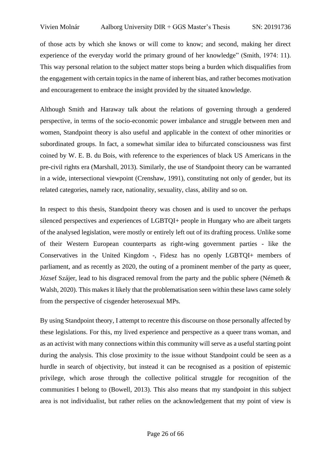of those acts by which she knows or will come to know; and second, making her direct experience of the everyday world the primary ground of her knowledge" (Smith, 1974: 11). This way personal relation to the subject matter stops being a burden which disqualifies from the engagement with certain topics in the name of inherent bias, and rather becomes motivation and encouragement to embrace the insight provided by the situated knowledge.

Although Smith and Haraway talk about the relations of governing through a gendered perspective, in terms of the socio-economic power imbalance and struggle between men and women, Standpoint theory is also useful and applicable in the context of other minorities or subordinated groups. In fact, a somewhat similar idea to bifurcated consciousness was first coined by W. E. B. du Bois, with reference to the experiences of black US Americans in the pre-civil rights era (Marshall, 2013). Similarly, the use of Standpoint theory can be warranted in a wide, intersectional viewpoint (Crenshaw, 1991), constituting not only of gender, but its related categories, namely race, nationality, sexuality, class, ability and so on.

In respect to this thesis, Standpoint theory was chosen and is used to uncover the perhaps silenced perspectives and experiences of LGBTQI+ people in Hungary who are albeit targets of the analysed legislation, were mostly or entirely left out of its drafting process. Unlike some of their Western European counterparts as right-wing government parties - like the Conservatives in the United Kingdom -, Fidesz has no openly LGBTQI+ members of parliament, and as recently as 2020, the outing of a prominent member of the party as queer, József Szájer, lead to his disgraced removal from the party and the public sphere (Németh & Walsh, 2020). This makes it likely that the problematisation seen within these laws came solely from the perspective of cisgender heterosexual MPs.

By using Standpoint theory, I attempt to recentre this discourse on those personally affected by these legislations. For this, my lived experience and perspective as a queer trans woman, and as an activist with many connections within this community will serve as a useful starting point during the analysis. This close proximity to the issue without Standpoint could be seen as a hurdle in search of objectivity, but instead it can be recognised as a position of epistemic privilege, which arose through the collective political struggle for recognition of the communities I belong to (Bowell, 2013). This also means that my standpoint in this subject area is not individualist, but rather relies on the acknowledgement that my point of view is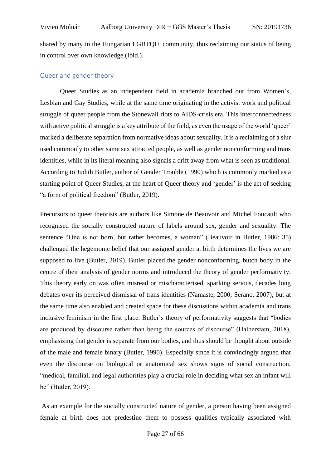shared by many in the Hungarian LGBTQI+ community, thus reclaiming our status of being in control over own knowledge (Ibid.).

#### <span id="page-26-0"></span>Queer and gender theory

Queer Studies as an independent field in academia branched out from Women's, Lesbian and Gay Studies, while at the same time originating in the activist work and political struggle of queer people from the Stonewall riots to AIDS-crisis era. This interconnectedness with active political struggle is a key attribute of the field, as even the usage of the world 'queer' marked a deliberate separation from normative ideas about sexuality. It is a reclaiming of a slur used commonly to other same sex attracted people, as well as gender nonconforming and trans identities, while in its literal meaning also signals a drift away from what is seen as traditional. According to Judith Butler, author of Gender Trouble (1990) which is commonly marked as a starting point of Queer Studies, at the heart of Queer theory and 'gender' is the act of seeking "a form of political freedom" (Butler, 2019).

Precursors to queer theorists are authors like Simone de Beauvoir and Michel Foucault who recognised the socially constructed nature of labels around sex, gender and sexuality. The sentence "One is not born, but rather becomes, a woman" (Beauvoir in Butler, 1986: 35) challenged the hegemonic belief that our assigned gender at birth determines the lives we are supposed to live (Butler, 2019). Butler placed the gender nonconforming, butch body in the centre of their analysis of gender norms and introduced the theory of gender performativity. This theory early on was often misread or mischaracterised, sparking serious, decades long debates over its perceived dismissal of trans identities (Namaste, 2000; Serano, 2007), but at the same time also enabled and created space for these discussions within academia and trans inclusive feminism in the first place. Butler's theory of performativity suggests that "bodies are produced by discourse rather than being the sources of discourse" (Halberstam, 2018), emphasizing that gender is separate from our bodies, and thus should be thought about outside of the male and female binary (Butler, 1990). Especially since it is convincingly argued that even the discourse on biological or anatomical sex shows signs of social construction, "medical, familial, and legal authorities play a crucial role in deciding what sex an infant will be" (Butler, 2019).

As an example for the socially constructed nature of gender, a person having been assigned female at birth does not predestine them to possess qualities typically associated with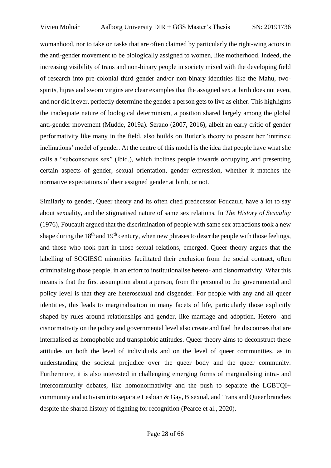womanhood, nor to take on tasks that are often claimed by particularly the right-wing actors in the anti-gender movement to be biologically assigned to women, like motherhood. Indeed, the increasing visibility of trans and non-binary people in society mixed with the developing field of research into pre-colonial third gender and/or non-binary identities like the Mahu, twospirits, hijras and sworn virgins are clear examples that the assigned sex at birth does not even, and nor did it ever, perfectly determine the gender a person gets to live as either. This highlights the inadequate nature of biological determinism, a position shared largely among the global anti-gender movement (Mudde, 2019a). Serano (2007, 2016), albeit an early critic of gender performativity like many in the field, also builds on Butler's theory to present her 'intrinsic inclinations' model of gender. At the centre of this model is the idea that people have what she calls a "subconscious sex" (Ibid.), which inclines people towards occupying and presenting certain aspects of gender, sexual orientation, gender expression, whether it matches the normative expectations of their assigned gender at birth, or not.

Similarly to gender, Queer theory and its often cited predecessor Foucault, have a lot to say about sexuality, and the stigmatised nature of same sex relations. In *The History of Sexuality* (1976), Foucault argued that the discrimination of people with same sex attractions took a new shape during the  $18<sup>th</sup>$  and  $19<sup>th</sup>$  century, when new phrases to describe people with those feelings, and those who took part in those sexual relations, emerged. Queer theory argues that the labelling of SOGIESC minorities facilitated their exclusion from the social contract, often criminalising those people, in an effort to institutionalise hetero- and cisnormativity. What this means is that the first assumption about a person, from the personal to the governmental and policy level is that they are heterosexual and cisgender. For people with any and all queer identities, this leads to marginalisation in many facets of life, particularly those explicitly shaped by rules around relationships and gender, like marriage and adoption. Hetero- and cisnormativity on the policy and governmental level also create and fuel the discourses that are internalised as homophobic and transphobic attitudes. Queer theory aims to deconstruct these attitudes on both the level of individuals and on the level of queer communities, as in understanding the societal prejudice over the queer body and the queer community. Furthermore, it is also interested in challenging emerging forms of marginalising intra- and intercommunity debates, like homonormativity and the push to separate the LGBTQI+ community and activism into separate Lesbian & Gay, Bisexual, and Trans and Queer branches despite the shared history of fighting for recognition (Pearce et al., 2020).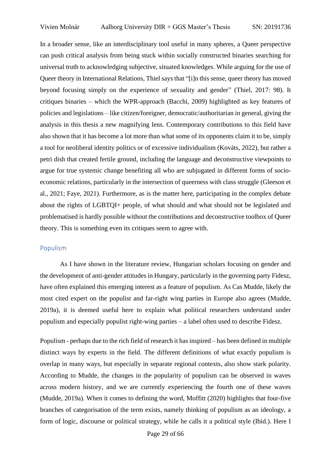In a broader sense, like an interdisciplinary tool useful in many spheres, a Queer perspective can push critical analysis from being stuck within socially constructed binaries searching for universal truth to acknowledging subjective, situated knowledges. While arguing for the use of Queer theory in International Relations, Thiel says that "[i]n this sense, queer theory has moved beyond focusing simply on the experience of sexuality and gender" (Thiel, 2017: 98). It critiques binaries – which the WPR-approach (Bacchi, 2009) highlighted as key features of policies and legislations – like citizen/foreigner, democratic/authoritarian in general, giving the analysis in this thesis a new magnifying lens. Contemporary contributions to this field have also shown that it has become a lot more than what some of its opponents claim it to be, simply a tool for neoliberal identity politics or of excessive individualism (Kováts, 2022), but rather a petri dish that created fertile ground, including the language and deconstructive viewpoints to argue for true systemic change benefiting all who are subjugated in different forms of socioeconomic relations, particularly in the intersection of queerness with class struggle (Gleeson et al., 2021; Faye, 2021). Furthermore, as is the matter here, participating in the complex debate about the rights of LGBTQI+ people, of what should and what should not be legislated and problematised is hardly possible without the contributions and deconstructive toolbox of Queer theory. This is something even its critiques seem to agree with.

#### <span id="page-28-0"></span>Populism

As I have shown in the literature review, Hungarian scholars focusing on gender and the development of anti-gender attitudes in Hungary, particularly in the governing party Fidesz, have often explained this emerging interest as a feature of populism. As Cas Mudde, likely the most cited expert on the populist and far-right wing parties in Europe also agrees (Mudde, 2019a), it is deemed useful here to explain what political researchers understand under populism and especially populist right-wing parties – a label often used to describe Fidesz.

Populism - perhaps due to the rich field of research it has inspired – has been defined in multiple distinct ways by experts in the field. The different definitions of what exactly populism is overlap in many ways, but especially in separate regional contexts, also show stark polarity. According to Mudde, the changes in the popularity of populism can be observed in waves across modern history, and we are currently experiencing the fourth one of these waves (Mudde, 2019a). When it comes to defining the word, Moffitt (2020) highlights that four-five branches of categorisation of the term exists, namely thinking of populism as an ideology, a form of logic, discourse or political strategy, while he calls it a political style (Ibid.). Here I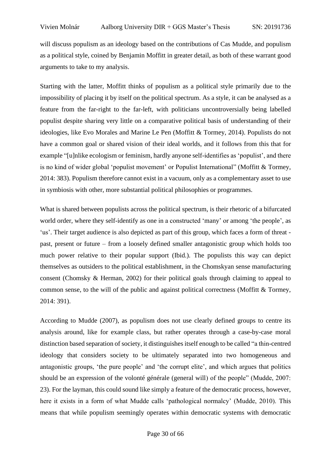will discuss populism as an ideology based on the contributions of Cas Mudde, and populism as a political style, coined by Benjamin Moffitt in greater detail, as both of these warrant good arguments to take to my analysis.

Starting with the latter, Moffitt thinks of populism as a political style primarily due to the impossibility of placing it by itself on the political spectrum. As a style, it can be analysed as a feature from the far-right to the far-left, with politicians uncontroversially being labelled populist despite sharing very little on a comparative political basis of understanding of their ideologies, like Evo Morales and Marine Le Pen (Moffitt & Tormey, 2014). Populists do not have a common goal or shared vision of their ideal worlds, and it follows from this that for example "[u]nlike ecologism or feminism, hardly anyone self-identifies as 'populist', and there is no kind of wider global 'populist movement' or Populist International" (Moffitt & Tormey, 2014: 383). Populism therefore cannot exist in a vacuum, only as a complementary asset to use in symbiosis with other, more substantial political philosophies or programmes.

What is shared between populists across the political spectrum, is their rhetoric of a bifurcated world order, where they self-identify as one in a constructed 'many' or among 'the people', as 'us'. Their target audience is also depicted as part of this group, which faces a form of threat past, present or future – from a loosely defined smaller antagonistic group which holds too much power relative to their popular support (Ibid.). The populists this way can depict themselves as outsiders to the political establishment, in the Chomskyan sense manufacturing consent (Chomsky & Herman, 2002) for their political goals through claiming to appeal to common sense, to the will of the public and against political correctness (Moffitt & Tormey, 2014: 391).

According to Mudde (2007), as populism does not use clearly defined groups to centre its analysis around, like for example class, but rather operates through a case-by-case moral distinction based separation of society, it distinguishes itself enough to be called "a thin-centred ideology that considers society to be ultimately separated into two homogeneous and antagonistic groups, 'the pure people' and 'the corrupt elite', and which argues that politics should be an expression of the volonté générale (general will) of the people" (Mudde, 2007: 23). For the layman, this could sound like simply a feature of the democratic process, however, here it exists in a form of what Mudde calls 'pathological normalcy' (Mudde, 2010). This means that while populism seemingly operates within democratic systems with democratic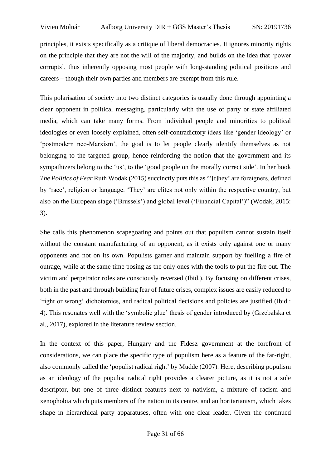principles, it exists specifically as a critique of liberal democracies. It ignores minority rights on the principle that they are not the will of the majority, and builds on the idea that 'power corrupts', thus inherently opposing most people with long-standing political positions and careers – though their own parties and members are exempt from this rule.

This polarisation of society into two distinct categories is usually done through appointing a clear opponent in political messaging, particularly with the use of party or state affiliated media, which can take many forms. From individual people and minorities to political ideologies or even loosely explained, often self-contradictory ideas like 'gender ideology' or 'postmodern neo-Marxism', the goal is to let people clearly identify themselves as not belonging to the targeted group, hence reinforcing the notion that the government and its sympathizers belong to the 'us', to the 'good people on the morally correct side'. In her book *The Politics of Fear* Ruth Wodak (2015) succinctly puts this as "'[t]hey' are foreigners, defined by 'race', religion or language. 'They' are elites not only within the respective country, but also on the European stage ('Brussels') and global level ('Financial Capital')" (Wodak, 2015: 3).

She calls this phenomenon scapegoating and points out that populism cannot sustain itself without the constant manufacturing of an opponent, as it exists only against one or many opponents and not on its own. Populists garner and maintain support by fuelling a fire of outrage, while at the same time posing as the only ones with the tools to put the fire out. The victim and perpetrator roles are consciously reversed (Ibid.). By focusing on different crises, both in the past and through building fear of future crises, complex issues are easily reduced to 'right or wrong' dichotomies, and radical political decisions and policies are justified (Ibid.: 4). This resonates well with the 'symbolic glue' thesis of gender introduced by (Grzebalska et al., 2017), explored in the literature review section.

In the context of this paper, Hungary and the Fidesz government at the forefront of considerations, we can place the specific type of populism here as a feature of the far-right, also commonly called the 'populist radical right' by Mudde (2007). Here, describing populism as an ideology of the populist radical right provides a clearer picture, as it is not a sole descriptor, but one of three distinct features next to nativism, a mixture of racism and xenophobia which puts members of the nation in its centre, and authoritarianism, which takes shape in hierarchical party apparatuses, often with one clear leader. Given the continued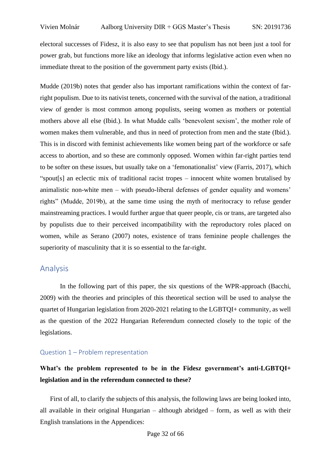electoral successes of Fidesz, it is also easy to see that populism has not been just a tool for power grab, but functions more like an ideology that informs legislative action even when no immediate threat to the position of the government party exists (Ibid.).

Mudde (2019b) notes that gender also has important ramifications within the context of farright populism. Due to its nativist tenets, concerned with the survival of the nation, a traditional view of gender is most common among populists, seeing women as mothers or potential mothers above all else (Ibid.). In what Mudde calls 'benevolent sexism', the mother role of women makes them vulnerable, and thus in need of protection from men and the state (Ibid.). This is in discord with feminist achievements like women being part of the workforce or safe access to abortion, and so these are commonly opposed. Women within far-right parties tend to be softer on these issues, but usually take on a 'femonationalist' view (Farris, 2017), which "spout[s] an eclectic mix of traditional racist tropes – innocent white women brutalised by animalistic non-white men – with pseudo-liberal defenses of gender equality and womens' rights" (Mudde, 2019b), at the same time using the myth of meritocracy to refuse gender mainstreaming practices. I would further argue that queer people, cis or trans, are targeted also by populists due to their perceived incompatibility with the reproductory roles placed on women, while as Serano (2007) notes, existence of trans feminine people challenges the superiority of masculinity that it is so essential to the far-right.

## <span id="page-31-0"></span>Analysis

In the following part of this paper, the six questions of the WPR-approach (Bacchi, 2009) with the theories and principles of this theoretical section will be used to analyse the quartet of Hungarian legislation from 2020-2021 relating to the LGBTQI+ community, as well as the question of the 2022 Hungarian Referendum connected closely to the topic of the legislations.

#### <span id="page-31-1"></span>Question 1 – Problem representation

# **What's the problem represented to be in the Fidesz government's anti-LGBTQI+ legislation and in the referendum connected to these?**

First of all, to clarify the subjects of this analysis, the following laws are being looked into, all available in their original Hungarian – although abridged – form, as well as with their English translations in the Appendices: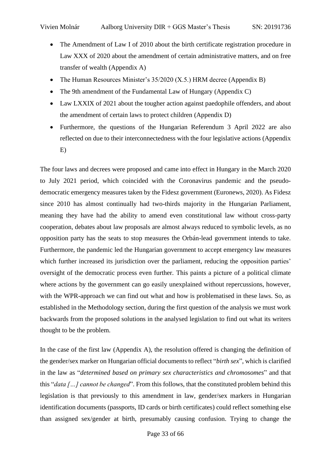- The Amendment of Law I of 2010 about the birth certificate registration procedure in Law XXX of 2020 about the amendment of certain administrative matters, and on free transfer of wealth (Appendix A)
- The Human Resources Minister's 35/2020 (X.5.) HRM decree (Appendix B)
- The 9th amendment of the Fundamental Law of Hungary (Appendix C)
- Law LXXIX of 2021 about the tougher action against paedophile offenders, and about the amendment of certain laws to protect children (Appendix D)
- Furthermore, the questions of the Hungarian Referendum 3 April 2022 are also reflected on due to their interconnectedness with the four legislative actions (Appendix E)

The four laws and decrees were proposed and came into effect in Hungary in the March 2020 to July 2021 period, which coincided with the Coronavirus pandemic and the pseudodemocratic emergency measures taken by the Fidesz government (Euronews, 2020). As Fidesz since 2010 has almost continually had two-thirds majority in the Hungarian Parliament, meaning they have had the ability to amend even constitutional law without cross-party cooperation, debates about law proposals are almost always reduced to symbolic levels, as no opposition party has the seats to stop measures the Orbán-lead government intends to take. Furthermore, the pandemic led the Hungarian government to accept emergency law measures which further increased its jurisdiction over the parliament, reducing the opposition parties' oversight of the democratic process even further. This paints a picture of a political climate where actions by the government can go easily unexplained without repercussions, however, with the WPR-approach we can find out what and how is problematised in these laws. So, as established in the Methodology section, during the first question of the analysis we must work backwards from the proposed solutions in the analysed legislation to find out what its writers thought to be the problem.

In the case of the first law (Appendix A), the resolution offered is changing the definition of the gender/sex marker on Hungarian official documents to reflect "*birth sex*", which is clarified in the law as "*determined based on primary sex characteristics and chromosomes*" and that this "*data […] cannot be changed*". From this follows, that the constituted problem behind this legislation is that previously to this amendment in law, gender/sex markers in Hungarian identification documents (passports, ID cards or birth certificates) could reflect something else than assigned sex/gender at birth, presumably causing confusion. Trying to change the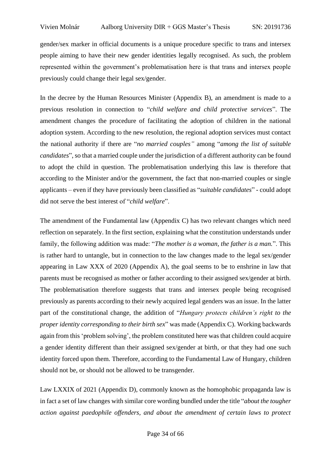gender/sex marker in official documents is a unique procedure specific to trans and intersex people aiming to have their new gender identities legally recognised. As such, the problem represented within the government's problematisation here is that trans and intersex people previously could change their legal sex/gender.

In the decree by the Human Resources Minister (Appendix B), an amendment is made to a previous resolution in connection to "*child welfare and child protective services*". The amendment changes the procedure of facilitating the adoption of children in the national adoption system. According to the new resolution, the regional adoption services must contact the national authority if there are "*no married couples"* among "*among the list of suitable candidates*", so that a married couple under the jurisdiction of a different authority can be found to adopt the child in question. The problematisation underlying this law is therefore that according to the Minister and/or the government, the fact that non-married couples or single applicants – even if they have previously been classified as "*suitable candidates*" - could adopt did not serve the best interest of "*child welfare*".

The amendment of the Fundamental law (Appendix C) has two relevant changes which need reflection on separately. In the first section, explaining what the constitution understands under family, the following addition was made: "*The mother is a woman, the father is a man.*". This is rather hard to untangle, but in connection to the law changes made to the legal sex/gender appearing in Law XXX of 2020 (Appendix A), the goal seems to be to enshrine in law that parents must be recognised as mother or father according to their assigned sex/gender at birth. The problematisation therefore suggests that trans and intersex people being recognised previously as parents according to their newly acquired legal genders was an issue. In the latter part of the constitutional change, the addition of "*Hungary protects children's right to the proper identity corresponding to their birth sex*" was made (Appendix C). Working backwards again from this 'problem solving', the problem constituted here was that children could acquire a gender identity different than their assigned sex/gender at birth, or that they had one such identity forced upon them. Therefore, according to the Fundamental Law of Hungary, children should not be, or should not be allowed to be transgender.

Law LXXIX of 2021 (Appendix D), commonly known as the homophobic propaganda law is in fact a set of law changes with similar core wording bundled under the title "*about the tougher action against paedophile offenders, and about the amendment of certain laws to protect*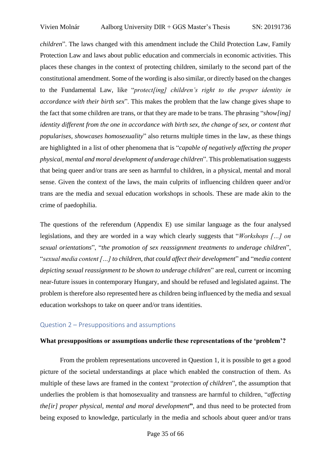*children*". The laws changed with this amendment include the Child Protection Law, Family Protection Law and laws about public education and commercials in economic activities. This places these changes in the context of protecting children, similarly to the second part of the constitutional amendment. Some of the wording is also similar, or directly based on the changes to the Fundamental Law, like "*protect[ing] children's right to the proper identity in accordance with their birth sex*". This makes the problem that the law change gives shape to the fact that some children are trans, or that they are made to be trans. The phrasing "*show[ing] identity different from the one in accordance with birth sex, the change of sex, or content that popularises, showcases homosexuality*" also returns multiple times in the law, as these things are highlighted in a list of other phenomena that is "*capable of negatively affecting the proper physical, mental and moral development of underage children*". This problematisation suggests that being queer and/or trans are seen as harmful to children, in a physical, mental and moral sense. Given the context of the laws, the main culprits of influencing children queer and/or trans are the media and sexual education workshops in schools. These are made akin to the crime of paedophilia.

The questions of the referendum (Appendix E) use similar language as the four analysed legislations, and they are worded in a way which clearly suggests that "*Workshops […] on sexual orientations*", "*the promotion of sex reassignment treatments to underage children*", "*sexual media content […] to children, that could affect their development*" and "*media content depicting sexual reassignment to be shown to underage children*" are real, current or incoming near-future issues in contemporary Hungary, and should be refused and legislated against. The problem is therefore also represented here as children being influenced by the media and sexual education workshops to take on queer and/or trans identities.

#### <span id="page-34-0"></span>Question 2 – Presuppositions and assumptions

#### **What presuppositions or assumptions underlie these representations of the 'problem'?**

From the problem representations uncovered in Question 1, it is possible to get a good picture of the societal understandings at place which enabled the construction of them. As multiple of these laws are framed in the context "*protection of children*", the assumption that underlies the problem is that homosexuality and transness are harmful to children, "*affecting the[ir] proper physical, mental and moral development***"**, and thus need to be protected from being exposed to knowledge, particularly in the media and schools about queer and/or trans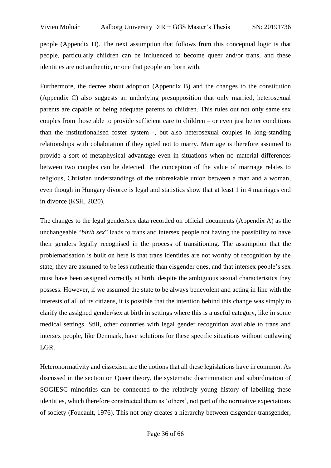people (Appendix D). The next assumption that follows from this conceptual logic is that people, particularly children can be influenced to become queer and/or trans, and these identities are not authentic, or one that people are born with.

Furthermore, the decree about adoption (Appendix B) and the changes to the constitution (Appendix C) also suggests an underlying presupposition that only married, heterosexual parents are capable of being adequate parents to children. This rules out not only same sex couples from those able to provide sufficient care to children – or even just better conditions than the institutionalised foster system -, but also heterosexual couples in long-standing relationships with cohabitation if they opted not to marry. Marriage is therefore assumed to provide a sort of metaphysical advantage even in situations when no material differences between two couples can be detected. The conception of the value of marriage relates to religious, Christian understandings of the unbreakable union between a man and a woman, even though in Hungary divorce is legal and statistics show that at least 1 in 4 marriages end in divorce (KSH, 2020).

The changes to the legal gender/sex data recorded on official documents (Appendix A) as the unchangeable "*birth sex*" leads to trans and intersex people not having the possibility to have their genders legally recognised in the process of transitioning. The assumption that the problematisation is built on here is that trans identities are not worthy of recognition by the state, they are assumed to be less authentic than cisgender ones, and that intersex people's sex must have been assigned correctly at birth, despite the ambiguous sexual characteristics they possess. However, if we assumed the state to be always benevolent and acting in line with the interests of all of its citizens, it is possible that the intention behind this change was simply to clarify the assigned gender/sex at birth in settings where this is a useful category, like in some medical settings. Still, other countries with legal gender recognition available to trans and intersex people, like Denmark, have solutions for these specific situations without outlawing LGR.

Heteronormativity and cissexism are the notions that all these legislations have in common. As discussed in the section on Queer theory, the systematic discrimination and subordination of SOGIESC minorities can be connected to the relatively young history of labelling these identities, which therefore constructed them as 'others', not part of the normative expectations of society (Foucault, 1976). This not only creates a hierarchy between cisgender-transgender,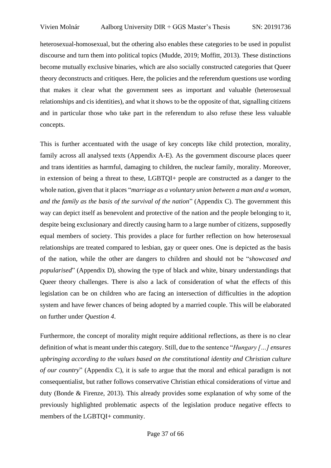heterosexual-homosexual, but the othering also enables these categories to be used in populist discourse and turn them into political topics (Mudde, 2019; Moffitt, 2013). These distinctions become mutually exclusive binaries, which are also socially constructed categories that Queer theory deconstructs and critiques. Here, the policies and the referendum questions use wording that makes it clear what the government sees as important and valuable (heterosexual relationships and cis identities), and what it shows to be the opposite of that, signalling citizens and in particular those who take part in the referendum to also refuse these less valuable concepts.

This is further accentuated with the usage of key concepts like child protection, morality, family across all analysed texts (Appendix A-E). As the government discourse places queer and trans identities as harmful, damaging to children, the nuclear family, morality. Moreover, in extension of being a threat to these, LGBTQI+ people are constructed as a danger to the whole nation, given that it places "*marriage as a voluntary union between a man and a woman, and the family as the basis of the survival of the nation*" (Appendix C). The government this way can depict itself as benevolent and protective of the nation and the people belonging to it, despite being exclusionary and directly causing harm to a large number of citizens, supposedly equal members of society. This provides a place for further reflection on how heterosexual relationships are treated compared to lesbian, gay or queer ones. One is depicted as the basis of the nation, while the other are dangers to children and should not be "*showcased and popularised*" (Appendix D), showing the type of black and white, binary understandings that Queer theory challenges. There is also a lack of consideration of what the effects of this legislation can be on children who are facing an intersection of difficulties in the adoption system and have fewer chances of being adopted by a married couple. This will be elaborated on further under *Question 4*.

Furthermore, the concept of morality might require additional reflections, as there is no clear definition of what is meant under this category. Still, due to the sentence "*Hungary […] ensures upbringing according to the values based on the constitutional identity and Christian culture of our country*" (Appendix C), it is safe to argue that the moral and ethical paradigm is not consequentialist, but rather follows conservative Christian ethical considerations of virtue and duty (Bonde & Firenze, 2013). This already provides some explanation of why some of the previously highlighted problematic aspects of the legislation produce negative effects to members of the LGBTQI+ community.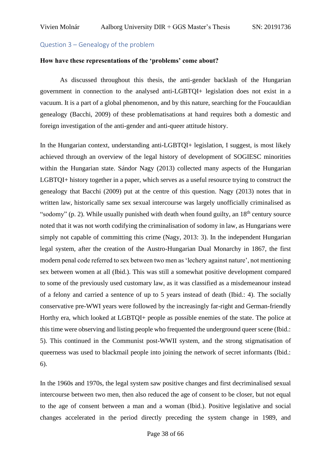#### <span id="page-37-0"></span>Question 3 – Genealogy of the problem

#### **How have these representations of the 'problems' come about?**

As discussed throughout this thesis, the anti-gender backlash of the Hungarian government in connection to the analysed anti-LGBTQI+ legislation does not exist in a vacuum. It is a part of a global phenomenon, and by this nature, searching for the Foucauldian genealogy (Bacchi, 2009) of these problematisations at hand requires both a domestic and foreign investigation of the anti-gender and anti-queer attitude history.

In the Hungarian context, understanding anti-LGBTOI+ legislation, I suggest, is most likely achieved through an overview of the legal history of development of SOGIESC minorities within the Hungarian state. Sándor Nagy (2013) collected many aspects of the Hungarian LGBTQI+ history together in a paper, which serves as a useful resource trying to construct the genealogy that Bacchi (2009) put at the centre of this question. Nagy (2013) notes that in written law, historically same sex sexual intercourse was largely unofficially criminalised as "sodomy" (p. 2). While usually punished with death when found guilty, an  $18<sup>th</sup>$  century source noted that it was not worth codifying the criminalisation of sodomy in law, as Hungarians were simply not capable of committing this crime (Nagy, 2013: 3). In the independent Hungarian legal system, after the creation of the Austro-Hungarian Dual Monarchy in 1867, the first modern penal code referred to sex between two men as 'lechery against nature', not mentioning sex between women at all (Ibid.). This was still a somewhat positive development compared to some of the previously used customary law, as it was classified as a misdemeanour instead of a felony and carried a sentence of up to 5 years instead of death (Ibid.: 4). The socially conservative pre-WWI years were followed by the increasingly far-right and German-friendly Horthy era, which looked at LGBTQI+ people as possible enemies of the state. The police at this time were observing and listing people who frequented the underground queer scene (Ibid.: 5). This continued in the Communist post-WWII system, and the strong stigmatisation of queerness was used to blackmail people into joining the network of secret informants (Ibid.: 6).

In the 1960s and 1970s, the legal system saw positive changes and first decriminalised sexual intercourse between two men, then also reduced the age of consent to be closer, but not equal to the age of consent between a man and a woman (Ibid.). Positive legislative and social changes accelerated in the period directly preceding the system change in 1989, and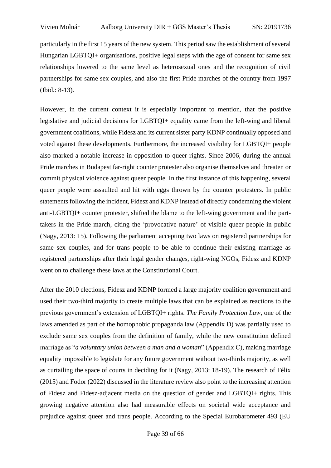particularly in the first 15 years of the new system. This period saw the establishment of several Hungarian LGBTQI+ organisations, positive legal steps with the age of consent for same sex relationships lowered to the same level as heterosexual ones and the recognition of civil partnerships for same sex couples, and also the first Pride marches of the country from 1997 (Ibid.: 8-13).

However, in the current context it is especially important to mention, that the positive legislative and judicial decisions for LGBTQI+ equality came from the left-wing and liberal government coalitions, while Fidesz and its current sister party KDNP continually opposed and voted against these developments. Furthermore, the increased visibility for LGBTQI+ people also marked a notable increase in opposition to queer rights. Since 2006, during the annual Pride marches in Budapest far-right counter protester also organise themselves and threaten or commit physical violence against queer people. In the first instance of this happening, several queer people were assaulted and hit with eggs thrown by the counter protesters. In public statements following the incident, Fidesz and KDNP instead of directly condemning the violent anti-LGBTQI+ counter protester, shifted the blame to the left-wing government and the parttakers in the Pride march, citing the 'provocative nature' of visible queer people in public (Nagy, 2013: 15). Following the parliament accepting two laws on registered partnerships for same sex couples, and for trans people to be able to continue their existing marriage as registered partnerships after their legal gender changes, right-wing NGOs, Fidesz and KDNP went on to challenge these laws at the Constitutional Court.

After the 2010 elections, Fidesz and KDNP formed a large majority coalition government and used their two-third majority to create multiple laws that can be explained as reactions to the previous government's extension of LGBTQI+ rights. *The Family Protection Law*, one of the laws amended as part of the homophobic propaganda law (Appendix D) was partially used to exclude same sex couples from the definition of family, while the new constitution defined marriage as "*a voluntary union between a man and a woman*" (Appendix C), making marriage equality impossible to legislate for any future government without two-thirds majority, as well as curtailing the space of courts in deciding for it (Nagy, 2013: 18-19). The research of Félix (2015) and Fodor (2022) discussed in the literature review also point to the increasing attention of Fidesz and Fidesz-adjacent media on the question of gender and LGBTQI+ rights. This growing negative attention also had measurable effects on societal wide acceptance and prejudice against queer and trans people. According to the Special Eurobarometer 493 (EU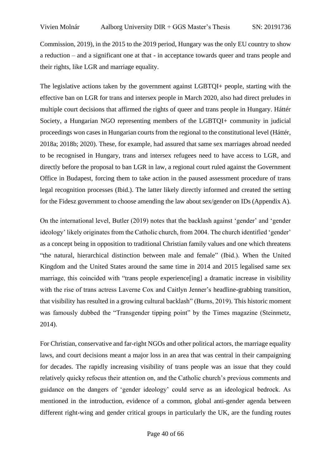Commission, 2019), in the 2015 to the 2019 period, Hungary was the only EU country to show a reduction – and a significant one at that - in acceptance towards queer and trans people and their rights, like LGR and marriage equality.

The legislative actions taken by the government against LGBTQI+ people, starting with the effective ban on LGR for trans and intersex people in March 2020, also had direct preludes in multiple court decisions that affirmed the rights of queer and trans people in Hungary. Háttér Society, a Hungarian NGO representing members of the LGBTQI+ community in judicial proceedings won cases in Hungarian courts from the regional to the constitutional level (Háttér, 2018a; 2018b; 2020). These, for example, had assured that same sex marriages abroad needed to be recognised in Hungary, trans and intersex refugees need to have access to LGR, and directly before the proposal to ban LGR in law, a regional court ruled against the Government Office in Budapest, forcing them to take action in the paused assessment procedure of trans legal recognition processes (Ibid.). The latter likely directly informed and created the setting for the Fidesz government to choose amending the law about sex/gender on IDs (Appendix A).

On the international level, Butler (2019) notes that the backlash against 'gender' and 'gender ideology' likely originates from the Catholic church, from 2004. The church identified 'gender' as a concept being in opposition to traditional Christian family values and one which threatens "the natural, hierarchical distinction between male and female" (Ibid.). When the United Kingdom and the United States around the same time in 2014 and 2015 legalised same sex marriage, this coincided with "trans people experience[ing] a dramatic increase in visibility with the rise of trans actress Laverne Cox and Caitlyn Jenner's headline-grabbing transition, that visibility has resulted in a growing cultural backlash" (Burns, 2019). This historic moment was famously dubbed the "Transgender tipping point" by the Times magazine (Steinmetz, 2014).

For Christian, conservative and far-right NGOs and other political actors, the marriage equality laws, and court decisions meant a major loss in an area that was central in their campaigning for decades. The rapidly increasing visibility of trans people was an issue that they could relatively quicky refocus their attention on, and the Catholic church's previous comments and guidance on the dangers of 'gender ideology' could serve as an ideological bedrock. As mentioned in the introduction, evidence of a common, global anti-gender agenda between different right-wing and gender critical groups in particularly the UK, are the funding routes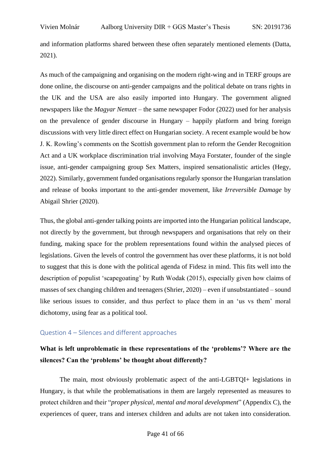and information platforms shared between these often separately mentioned elements (Datta, 2021).

As much of the campaigning and organising on the modern right-wing and in TERF groups are done online, the discourse on anti-gender campaigns and the political debate on trans rights in the UK and the USA are also easily imported into Hungary. The government aligned newspapers like the *Magyar Nemzet* – the same newspaper Fodor (2022) used for her analysis on the prevalence of gender discourse in Hungary – happily platform and bring foreign discussions with very little direct effect on Hungarian society. A recent example would be how J. K. Rowling's comments on the Scottish government plan to reform the Gender Recognition Act and a UK workplace discrimination trial involving Maya Forstater, founder of the single issue, anti-gender campaigning group Sex Matters, inspired sensationalistic articles (Hegy, 2022). Similarly, government funded organisations regularly sponsor the Hungarian translation and release of books important to the anti-gender movement, like *Irreversible Damage* by Abigail Shrier (2020).

Thus, the global anti-gender talking points are imported into the Hungarian political landscape, not directly by the government, but through newspapers and organisations that rely on their funding, making space for the problem representations found within the analysed pieces of legislations. Given the levels of control the government has over these platforms, it is not bold to suggest that this is done with the political agenda of Fidesz in mind. This fits well into the description of populist 'scapegoating' by Ruth Wodak (2015), especially given how claims of masses of sex changing children and teenagers (Shrier, 2020) – even if unsubstantiated – sound like serious issues to consider, and thus perfect to place them in an 'us vs them' moral dichotomy, using fear as a political tool.

## <span id="page-40-0"></span>Question 4 – Silences and different approaches

# **What is left unproblematic in these representations of the 'problems'? Where are the silences? Can the 'problems' be thought about differently?**

The main, most obviously problematic aspect of the anti-LGBTQI+ legislations in Hungary, is that while the problematisations in them are largely represented as measures to protect children and their "*proper physical, mental and moral development*" (Appendix C), the experiences of queer, trans and intersex children and adults are not taken into consideration.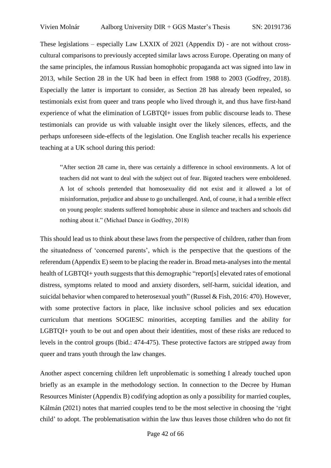These legislations – especially Law LXXIX of 2021 (Appendix D) - are not without crosscultural comparisons to previously accepted similar laws across Europe. Operating on many of the same principles, the infamous Russian homophobic propaganda act was signed into law in 2013, while Section 28 in the UK had been in effect from 1988 to 2003 (Godfrey, 2018). Especially the latter is important to consider, as Section 28 has already been repealed, so testimonials exist from queer and trans people who lived through it, and thus have first-hand experience of what the elimination of LGBTQI+ issues from public discourse leads to. These testimonials can provide us with valuable insight over the likely silences, effects, and the perhaps unforeseen side-effects of the legislation. One English teacher recalls his experience teaching at a UK school during this period:

"After section 28 came in, there was certainly a difference in school environments. A lot of teachers did not want to deal with the subject out of fear. Bigoted teachers were emboldened. A lot of schools pretended that homosexuality did not exist and it allowed a lot of misinformation, prejudice and abuse to go unchallenged. And, of course, it had a terrible effect on young people: students suffered homophobic abuse in silence and teachers and schools did nothing about it." (Michael Dance in Godfrey, 2018)

This should lead us to think about these laws from the perspective of children, rather than from the situatedness of 'concerned parents', which is the perspective that the questions of the referendum (Appendix E) seem to be placing the reader in. Broad meta-analysesinto the mental health of LGBTQI+ youth suggests that this demographic "report[s] elevated rates of emotional distress, symptoms related to mood and anxiety disorders, self-harm, suicidal ideation, and suicidal behavior when compared to heterosexual youth" (Russel & Fish, 2016: 470). However, with some protective factors in place, like inclusive school policies and sex education curriculum that mentions SOGIESC minorities, accepting families and the ability for LGBTQI+ youth to be out and open about their identities, most of these risks are reduced to levels in the control groups (Ibid.: 474-475). These protective factors are stripped away from queer and trans youth through the law changes.

Another aspect concerning children left unproblematic is something I already touched upon briefly as an example in the methodology section. In connection to the Decree by Human Resources Minister (Appendix B) codifying adoption as only a possibility for married couples, Kálmán (2021) notes that married couples tend to be the most selective in choosing the 'right child' to adopt. The problematisation within the law thus leaves those children who do not fit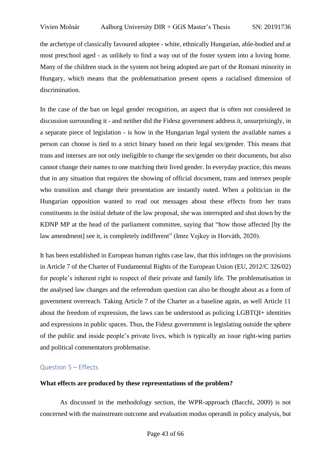the archetype of classically favoured adoptee - white, ethnically Hungarian, able-bodied and at most preschool aged - as unlikely to find a way out of the foster system into a loving home. Many of the children stuck in the system not being adopted are part of the Romani minority in Hungary, which means that the problematisation present opens a racialised dimension of discrimination.

In the case of the ban on legal gender recognition, an aspect that is often not considered in discussion surrounding it - and neither did the Fidesz government address it, unsurprisingly, in a separate piece of legislation - is how in the Hungarian legal system the available names a person can choose is tied to a strict binary based on their legal sex/gender. This means that trans and intersex are not only ineligible to change the sex/gender on their documents, but also cannot change their names to one matching their lived gender. In everyday practice, this means that in any situation that requires the showing of official document, trans and intersex people who transition and change their presentation are instantly outed. When a politician in the Hungarian opposition wanted to read out messages about these effects from her trans constituents in the initial debate of the law proposal, she was interrupted and shut down by the KDNP MP at the head of the parliament committee, saying that "how those affected [by the law amendment] see it, is completely indifferent" (Imre Vejkey in Horváth, 2020).

It has been established in European human rights case law, that this infringes on the provisions in Article 7 of the Charter of Fundamental Rights of the European Union (EU, 2012/C 326/02) for people's inherent right to respect of their private and family life. The problematisation in the analysed law changes and the referendum question can also be thought about as a form of government overreach. Taking Article 7 of the Charter as a baseline again, as well Article 11 about the freedom of expression, the laws can be understood as policing LGBTQI+ identities and expressions in public spaces. Thus, the Fidesz government is legislating outside the sphere of the public and inside people's private lives, which is typically an issue right-wing parties and political commentators problematise.

#### <span id="page-42-0"></span>Question 5 – Effects

#### **What effects are produced by these representations of the problem?**

As discussed in the methodology section, the WPR-approach (Bacchi, 2009) is not concerned with the mainstream outcome and evaluation modus operandi in policy analysis, but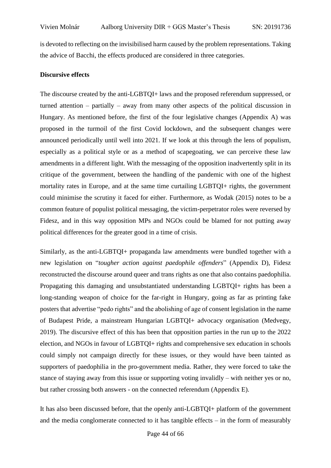is devoted to reflecting on the invisibilised harm caused by the problem representations. Taking the advice of Bacchi, the effects produced are considered in three categories.

#### **Discursive effects**

The discourse created by the anti-LGBTQI+ laws and the proposed referendum suppressed, or turned attention – partially – away from many other aspects of the political discussion in Hungary. As mentioned before, the first of the four legislative changes (Appendix A) was proposed in the turmoil of the first Covid lockdown, and the subsequent changes were announced periodically until well into 2021. If we look at this through the lens of populism, especially as a political style or as a method of scapegoating, we can perceive these law amendments in a different light. With the messaging of the opposition inadvertently split in its critique of the government, between the handling of the pandemic with one of the highest mortality rates in Europe, and at the same time curtailing LGBTQI+ rights, the government could minimise the scrutiny it faced for either. Furthermore, as Wodak (2015) notes to be a common feature of populist political messaging, the victim-perpetrator roles were reversed by Fidesz, and in this way opposition MPs and NGOs could be blamed for not putting away political differences for the greater good in a time of crisis.

Similarly, as the anti-LGBTQI+ propaganda law amendments were bundled together with a new legislation on "*tougher action against paedophile offenders*" (Appendix D), Fidesz reconstructed the discourse around queer and trans rights as one that also contains paedophilia. Propagating this damaging and unsubstantiated understanding LGBTQI+ rights has been a long-standing weapon of choice for the far-right in Hungary, going as far as printing fake posters that advertise "pedo rights" and the abolishing of age of consent legislation in the name of Budapest Pride, a mainstream Hungarian LGBTQI+ advocacy organisation (Medvegy, 2019). The discursive effect of this has been that opposition parties in the run up to the 2022 election, and NGOs in favour of LGBTQI+ rights and comprehensive sex education in schools could simply not campaign directly for these issues, or they would have been tainted as supporters of paedophilia in the pro-government media. Rather, they were forced to take the stance of staying away from this issue or supporting voting invalidly – with neither yes or no, but rather crossing both answers - on the connected referendum (Appendix E).

It has also been discussed before, that the openly anti-LGBTQI+ platform of the government and the media conglomerate connected to it has tangible effects – in the form of measurably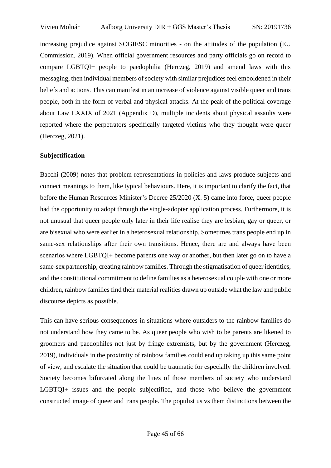increasing prejudice against SOGIESC minorities - on the attitudes of the population (EU Commission, 2019). When official government resources and party officials go on record to compare LGBTQI+ people to paedophilia (Herczeg, 2019) and amend laws with this messaging, then individual members of society with similar prejudices feel emboldened in their beliefs and actions. This can manifest in an increase of violence against visible queer and trans people, both in the form of verbal and physical attacks. At the peak of the political coverage about Law LXXIX of 2021 (Appendix D), multiple incidents about physical assaults were reported where the perpetrators specifically targeted victims who they thought were queer (Herczeg, 2021).

#### **Subjectification**

Bacchi (2009) notes that problem representations in policies and laws produce subjects and connect meanings to them, like typical behaviours. Here, it is important to clarify the fact, that before the Human Resources Minister's Decree 25/2020 (X. 5) came into force, queer people had the opportunity to adopt through the single-adopter application process. Furthermore, it is not unusual that queer people only later in their life realise they are lesbian, gay or queer, or are bisexual who were earlier in a heterosexual relationship. Sometimes trans people end up in same-sex relationships after their own transitions. Hence, there are and always have been scenarios where LGBTQI+ become parents one way or another, but then later go on to have a same-sex partnership, creating rainbow families. Through the stigmatisation of queer identities, and the constitutional commitment to define families as a heterosexual couple with one or more children, rainbow families find their material realities drawn up outside what the law and public discourse depicts as possible.

This can have serious consequences in situations where outsiders to the rainbow families do not understand how they came to be. As queer people who wish to be parents are likened to groomers and paedophiles not just by fringe extremists, but by the government (Herczeg, 2019), individuals in the proximity of rainbow families could end up taking up this same point of view, and escalate the situation that could be traumatic for especially the children involved. Society becomes bifurcated along the lines of those members of society who understand LGBTQI+ issues and the people subjectified, and those who believe the government constructed image of queer and trans people. The populist us vs them distinctions between the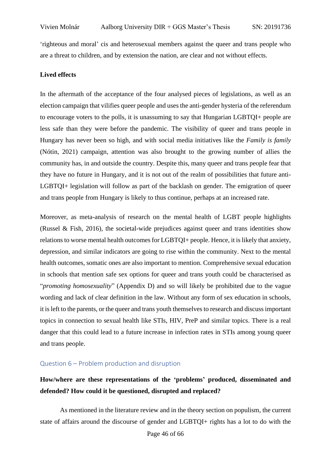'righteous and moral' cis and heterosexual members against the queer and trans people who are a threat to children, and by extension the nation, are clear and not without effects.

#### **Lived effects**

In the aftermath of the acceptance of the four analysed pieces of legislations, as well as an election campaign that vilifies queer people and uses the anti-gender hysteria of the referendum to encourage voters to the polls, it is unassuming to say that Hungarian LGBTQI+ people are less safe than they were before the pandemic. The visibility of queer and trans people in Hungary has never been so high, and with social media initiatives like the *Family is family* (Nótin, 2021) campaign, attention was also brought to the growing number of allies the community has, in and outside the country. Despite this, many queer and trans people fear that they have no future in Hungary, and it is not out of the realm of possibilities that future anti-LGBTQI+ legislation will follow as part of the backlash on gender. The emigration of queer and trans people from Hungary is likely to thus continue, perhaps at an increased rate.

Moreover, as meta-analysis of research on the mental health of LGBT people highlights (Russel & Fish, 2016), the societal-wide prejudices against queer and trans identities show relations to worse mental health outcomes for LGBTQI+ people. Hence, it is likely that anxiety, depression, and similar indicators are going to rise within the community. Next to the mental health outcomes, somatic ones are also important to mention. Comprehensive sexual education in schools that mention safe sex options for queer and trans youth could be characterised as "*promoting homosexuality*" (Appendix D) and so will likely be prohibited due to the vague wording and lack of clear definition in the law. Without any form of sex education in schools, it isleft to the parents, or the queer and trans youth themselvesto research and discussimportant topics in connection to sexual health like STIs, HIV, PreP and similar topics. There is a real danger that this could lead to a future increase in infection rates in STIs among young queer and trans people.

## <span id="page-45-0"></span>Question 6 – Problem production and disruption

# **How/where are these representations of the 'problems' produced, disseminated and defended? How could it be questioned, disrupted and replaced?**

As mentioned in the literature review and in the theory section on populism, the current state of affairs around the discourse of gender and LGBTQI+ rights has a lot to do with the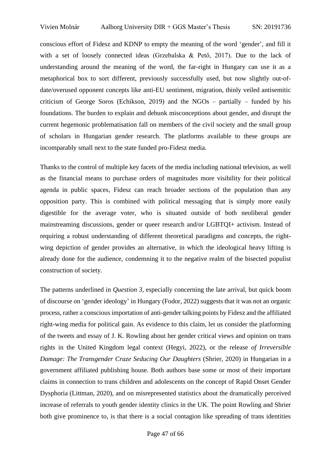conscious effort of Fidesz and KDNP to empty the meaning of the word 'gender', and fill it with a set of loosely connected ideas (Grzebalska & Pető, 2017). Due to the lack of understanding around the meaning of the word, the far-right in Hungary can use it as a metaphorical box to sort different, previously successfully used, but now slightly out-ofdate/overused opponent concepts like anti-EU sentiment, migration, thinly veiled antisemitic criticism of George Soros (Echikson, 2019) and the  $NGOs -$  partially – funded by his foundations. The burden to explain and debunk misconceptions about gender, and disrupt the current hegemonic problematisation fall on members of the civil society and the small group of scholars in Hungarian gender research. The platforms available to these groups are incomparably small next to the state funded pro-Fidesz media.

Thanks to the control of multiple key facets of the media including national television, as well as the financial means to purchase orders of magnitudes more visibility for their political agenda in public spaces, Fidesz can reach broader sections of the population than any opposition party. This is combined with political messaging that is simply more easily digestible for the average voter, who is situated outside of both neoliberal gender mainstreaming discussions, gender or queer research and/or LGBTQI+ activism. Instead of requiring a robust understanding of different theoretical paradigms and concepts, the rightwing depiction of gender provides an alternative, in which the ideological heavy lifting is already done for the audience, condemning it to the negative realm of the bisected populist construction of society.

The patterns underlined in *Question 3,* especially concerning the late arrival, but quick boom of discourse on 'gender ideology' in Hungary (Fodor, 2022) suggests that it was not an organic process, rather a conscious importation of anti-gender talking points by Fidesz and the affiliated right-wing media for political gain. As evidence to this claim, let us consider the platforming of the tweets and essay of J. K. Rowling about her gender critical views and opinion on trans rights in the United Kingdom legal context (Hegyi, 2022), or the release *of Irreversible Damage: The Transgender Craze Seducing Our Daughters* (Shrier, 2020) in Hungarian in a government affiliated publishing house. Both authors base some or most of their important claims in connection to trans children and adolescents on the concept of Rapid Onset Gender Dysphoria (Littman, 2020), and on misrepresented statistics about the dramatically perceived increase of referrals to youth gender identity clinics in the UK. The point Rowling and Shrier both give prominence to, is that there is a social contagion like spreading of trans identities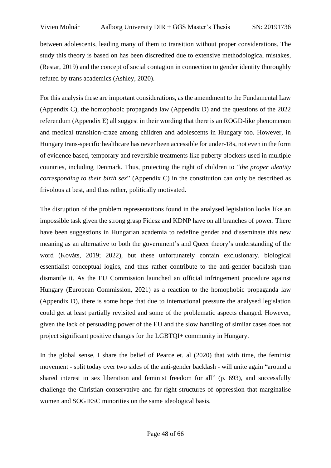between adolescents, leading many of them to transition without proper considerations. The study this theory is based on has been discredited due to extensive methodological mistakes, (Restar, 2019) and the concept of social contagion in connection to gender identity thoroughly refuted by trans academics (Ashley, 2020).

For this analysis these are important considerations, as the amendment to the Fundamental Law (Appendix C), the homophobic propaganda law (Appendix D) and the questions of the 2022 referendum (Appendix E) all suggest in their wording that there is an ROGD-like phenomenon and medical transition-craze among children and adolescents in Hungary too. However, in Hungary trans-specific healthcare has never been accessible for under-18s, not even in the form of evidence based, temporary and reversible treatments like puberty blockers used in multiple countries, including Denmark. Thus, protecting the right of children to "*the proper identity corresponding to their birth sex*" (Appendix C) in the constitution can only be described as frivolous at best, and thus rather, politically motivated.

The disruption of the problem representations found in the analysed legislation looks like an impossible task given the strong grasp Fidesz and KDNP have on all branches of power. There have been suggestions in Hungarian academia to redefine gender and disseminate this new meaning as an alternative to both the government's and Queer theory's understanding of the word (Kováts, 2019; 2022), but these unfortunately contain exclusionary, biological essentialist conceptual logics, and thus rather contribute to the anti-gender backlash than dismantle it. As the EU Commission launched an official infringement procedure against Hungary (European Commission, 2021) as a reaction to the homophobic propaganda law (Appendix D), there is some hope that due to international pressure the analysed legislation could get at least partially revisited and some of the problematic aspects changed. However, given the lack of persuading power of the EU and the slow handling of similar cases does not project significant positive changes for the LGBTQI+ community in Hungary.

In the global sense, I share the belief of Pearce et. al (2020) that with time, the feminist movement - split today over two sides of the anti-gender backlash - will unite again "around a shared interest in sex liberation and feminist freedom for all" (p. 693), and successfully challenge the Christian conservative and far-right structures of oppression that marginalise women and SOGIESC minorities on the same ideological basis.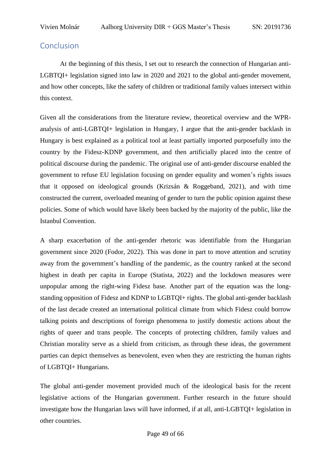# <span id="page-48-0"></span>Conclusion

At the beginning of this thesis, I set out to research the connection of Hungarian anti-LGBTQI+ legislation signed into law in 2020 and 2021 to the global anti-gender movement, and how other concepts, like the safety of children or traditional family values intersect within this context.

Given all the considerations from the literature review, theoretical overview and the WPRanalysis of anti-LGBTQI+ legislation in Hungary, I argue that the anti-gender backlash in Hungary is best explained as a political tool at least partially imported purposefully into the country by the Fidesz-KDNP government, and then artificially placed into the centre of political discourse during the pandemic. The original use of anti-gender discourse enabled the government to refuse EU legislation focusing on gender equality and women's rights issues that it opposed on ideological grounds (Krizsán & Roggeband, 2021), and with time constructed the current, overloaded meaning of gender to turn the public opinion against these policies. Some of which would have likely been backed by the majority of the public, like the Istanbul Convention.

A sharp exacerbation of the anti-gender rhetoric was identifiable from the Hungarian government since 2020 (Fodor, 2022). This was done in part to move attention and scrutiny away from the government's handling of the pandemic, as the country ranked at the second highest in death per capita in Europe (Statista, 2022) and the lockdown measures were unpopular among the right-wing Fidesz base. Another part of the equation was the longstanding opposition of Fidesz and KDNP to LGBTQI+ rights. The global anti-gender backlash of the last decade created an international political climate from which Fidesz could borrow talking points and descriptions of foreign phenomena to justify domestic actions about the rights of queer and trans people. The concepts of protecting children, family values and Christian morality serve as a shield from criticism, as through these ideas, the government parties can depict themselves as benevolent, even when they are restricting the human rights of LGBTQI+ Hungarians.

The global anti-gender movement provided much of the ideological basis for the recent legislative actions of the Hungarian government. Further research in the future should investigate how the Hungarian laws will have informed, if at all, anti-LGBTQI+ legislation in other countries.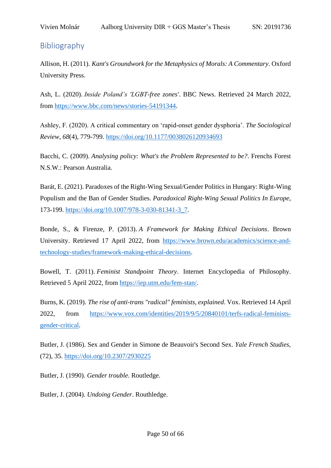# <span id="page-49-0"></span>Bibliography

Allison, H. (2011). *Kant's Groundwork for the Metaphysics of Morals: A Commentary*. Oxford University Press.

Ash, L. (2020). *Inside Poland's 'LGBT-free zones'*. BBC News. Retrieved 24 March 2022, from [https://www.bbc.com/news/stories-54191344.](https://www.bbc.com/news/stories-54191344)

Ashley, F. (2020). A critical commentary on 'rapid-onset gender dysphoria'. *The Sociological Review*, *68*(4), 779-799.<https://doi.org/10.1177/0038026120934693>

Bacchi, C. (2009). *Analysing policy: What's the Problem Represented to be?*. Frenchs Forest N.S.W.: Pearson Australia.

Barát, E. (2021). Paradoxes of the Right-Wing Sexual/Gender Politics in Hungary: Right-Wing Populism and the Ban of Gender Studies. *Paradoxical Right-Wing Sexual Politics In Europe*, 173-199. [https://doi.org/10.1007/978-3-030-81341-3\\_7.](https://doi.org/10.1007/978-3-030-81341-3_7)

Bonde, S., & Firenze, P. (2013). *A Framework for Making Ethical Decisions*. Brown University. Retrieved 17 April 2022, from [https://www.brown.edu/academics/science-and](https://www.brown.edu/academics/science-and-technology-studies/framework-making-ethical-decisions)[technology-studies/framework-making-ethical-decisions.](https://www.brown.edu/academics/science-and-technology-studies/framework-making-ethical-decisions)

Bowell, T. (2011). *Feminist Standpoint Theory*. Internet Encyclopedia of Philosophy. Retrieved 5 April 2022, from [https://iep.utm.edu/fem-stan/.](https://iep.utm.edu/fem-stan/)

Burns, K. (2019). *The rise of anti-trans "radical" feminists, explained*. Vox. Retrieved 14 April 2022, from [https://www.vox.com/identities/2019/9/5/20840101/terfs-radical-feminists](https://www.vox.com/identities/2019/9/5/20840101/terfs-radical-feminists-gender-critical)[gender-critical.](https://www.vox.com/identities/2019/9/5/20840101/terfs-radical-feminists-gender-critical)

Butler, J. (1986). Sex and Gender in Simone de Beauvoir's Second Sex. *Yale French Studies*, (72), 35.<https://doi.org/10.2307/2930225>

Butler, J. (1990). *Gender trouble*. Routledge.

Butler, J. (2004). *Undoing Gender*. Routhledge.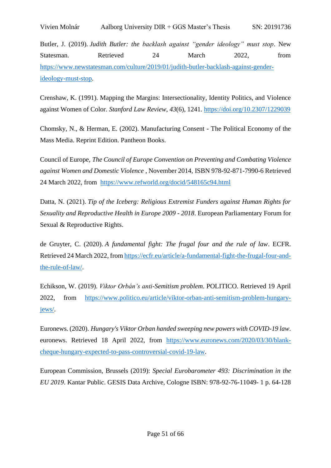Vivien Molnár Aalborg University DIR + GGS Master's Thesis SN: 20191736

Butler, J. (2019). *Judith Butler: the backlash against "gender ideology" must stop*. New Statesman. Retrieved 24 March 2022. from [https://www.newstatesman.com/culture/2019/01/judith-butler-backlash-against-gender](https://www.newstatesman.com/culture/2019/01/judith-butler-backlash-against-gender-ideology-must-stop)[ideology-must-stop.](https://www.newstatesman.com/culture/2019/01/judith-butler-backlash-against-gender-ideology-must-stop)

Crenshaw, K. (1991). Mapping the Margins: Intersectionality, Identity Politics, and Violence against Women of Color. *Stanford Law Review*, *43*(6), 1241.<https://doi.org/10.2307/1229039>

Chomsky, N., & Herman, E. (2002). Manufacturing Consent - The Political Economy of the Mass Media. Reprint Edition. Pantheon Books.

Council of Europe, *The Council of Europe Convention on Preventing and Combating Violence against Women and Domestic Violence* , November 2014, ISBN 978-92-871-7990-6 Retrieved 24 March 2022, from <https://www.refworld.org/docid/548165c94.html>

Datta, N. (2021). *Tip of the Iceberg: Religious Extremist Funders against Human Rights for Sexuality and Reproductive Health in Europe 2009 - 2018*. European Parliamentary Forum for Sexual & Reproductive Rights.

de Gruyter, C. (2020). *A fundamental fight: The frugal four and the rule of law*. ECFR. Retrieved 24 March 2022, from [https://ecfr.eu/article/a-fundamental-fight-the-frugal-four-and](https://ecfr.eu/article/a-fundamental-fight-the-frugal-four-and-the-rule-of-law/)[the-rule-of-law/.](https://ecfr.eu/article/a-fundamental-fight-the-frugal-four-and-the-rule-of-law/)

Echikson, W. (2019). *Viktor Orbán's anti-Semitism problem*. POLITICO. Retrieved 19 April 2022, from [https://www.politico.eu/article/viktor-orban-anti-semitism-problem-hungary](https://www.politico.eu/article/viktor-orban-anti-semitism-problem-hungary-jews/)[jews/.](https://www.politico.eu/article/viktor-orban-anti-semitism-problem-hungary-jews/)

Euronews. (2020). *Hungary's Viktor Orban handed sweeping new powers with COVID-19 law*. euronews. Retrieved 18 April 2022, from [https://www.euronews.com/2020/03/30/blank](https://www.euronews.com/2020/03/30/blank-cheque-hungary-expected-to-pass-controversial-covid-19-law)[cheque-hungary-expected-to-pass-controversial-covid-19-law.](https://www.euronews.com/2020/03/30/blank-cheque-hungary-expected-to-pass-controversial-covid-19-law)

European Commission, Brussels (2019): *Special Eurobarometer 493: Discrimination in the EU 2019*. Kantar Public. GESIS Data Archive, Cologne ISBN: 978-92-76-11049- 1 p. 64-128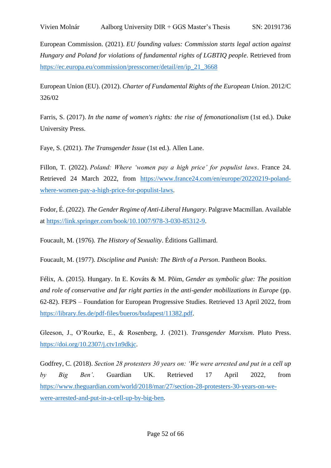European Commission. (2021). *EU founding values: Commission starts legal action against Hungary and Poland for violations of fundamental rights of LGBTIQ people*. Retrieved from [https://ec.europa.eu/commission/presscorner/detail/en/ip\\_21\\_3668](https://ec.europa.eu/commission/presscorner/detail/en/ip_21_3668)

European Union (EU). (2012). *Charter of Fundamental Rights of the European Union*. 2012/C 326/02

Farris, S. (2017). *In the name of women's rights: the rise of femonationalism* (1st ed.). Duke University Press.

Faye, S. (2021). *The Transgender Issue* (1st ed.). Allen Lane.

Fillon, T. (2022). *Poland: Where 'women pay a high price' for populist laws*. France 24. Retrieved 24 March 2022, from [https://www.france24.com/en/europe/20220219-poland](https://www.france24.com/en/europe/20220219-poland-where-women-pay-a-high-price-for-populist-laws)[where-women-pay-a-high-price-for-populist-laws.](https://www.france24.com/en/europe/20220219-poland-where-women-pay-a-high-price-for-populist-laws)

Fodor, É. (2022). *The Gender Regime of Anti-Liberal Hungary*. Palgrave Macmillan. Available at [https://link.springer.com/book/10.1007/978-3-030-85312-9.](https://link.springer.com/book/10.1007/978-3-030-85312-9)

Foucault, M. (1976). *The History of Sexuality*. Éditions Gallimard.

Foucault, M. (1977). *Discipline and Punish: The Birth of a Person*. Pantheon Books.

Félix, A. (2015). Hungary. In E. Kováts & M. Põim, *Gender as symbolic glue: The position and role of conservative and far right parties in the anti-gender mobilizations in Europe* (pp. 62-82). FEPS – Foundation for European Progressive Studies. Retrieved 13 April 2022, from [https://library.fes.de/pdf-files/bueros/budapest/11382.pdf.](https://library.fes.de/pdf-files/bueros/budapest/11382.pdf)

Gleeson, J., O'Rourke, E., & Rosenberg, J. (2021). *Transgender Marxism*. Pluto Press. [https://doi.org/10.2307/j.ctv1n9dkjc.](https://doi.org/10.2307/j.ctv1n9dkjc)

Godfrey, C. (2018). *Section 28 protesters 30 years on: 'We were arrested and put in a cell up by Big Ben'*. Guardian UK. Retrieved 17 April 2022, from [https://www.theguardian.com/world/2018/mar/27/section-28-protesters-30-years-on-we](https://www.theguardian.com/world/2018/mar/27/section-28-protesters-30-years-on-we-were-arrested-and-put-in-a-cell-up-by-big-ben)[were-arrested-and-put-in-a-cell-up-by-big-ben.](https://www.theguardian.com/world/2018/mar/27/section-28-protesters-30-years-on-we-were-arrested-and-put-in-a-cell-up-by-big-ben)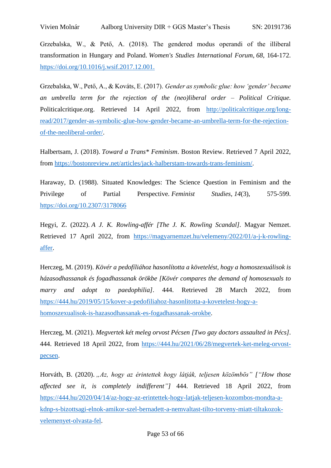Grzebalska, W., & Pető, A. (2018). The gendered modus operandi of the illiberal transformation in Hungary and Poland. *Women's Studies International Forum*, *68*, 164-172. [https://doi.org/10.1016/j.wsif.2017.12.001.](https://doi.org/10.1016/j.wsif.2017.12.001)

Grzebalska, W., Pető, A., & Kováts, E. (2017). *Gender as symbolic glue: how 'gender' became an umbrella term for the rejection of the (neo)liberal order – Political Critique.*  Politicalcritique.org. Retrieved 14 April 2022, from [http://politicalcritique.org/long](http://politicalcritique.org/long-read/2017/gender-as-symbolic-glue-how-gender-became-an-umbrella-term-for-the-rejection-of-the-neoliberal-order/)[read/2017/gender-as-symbolic-glue-how-gender-became-an-umbrella-term-for-the-rejection](http://politicalcritique.org/long-read/2017/gender-as-symbolic-glue-how-gender-became-an-umbrella-term-for-the-rejection-of-the-neoliberal-order/)[of-the-neoliberal-order/.](http://politicalcritique.org/long-read/2017/gender-as-symbolic-glue-how-gender-became-an-umbrella-term-for-the-rejection-of-the-neoliberal-order/)

Halbertsam, J. (2018). *Toward a Trans\* Feminism*. Boston Review. Retrieved 7 April 2022, from [https://bostonreview.net/articles/jack-halberstam-towards-trans-feminism/.](https://bostonreview.net/articles/jack-halberstam-towards-trans-feminism/)

Haraway, D. (1988). Situated Knowledges: The Science Question in Feminism and the Privilege of Partial Perspective. *Feminist Studies*, *14*(3), 575-599. <https://doi.org/10.2307/3178066>

Hegyi, Z. (2022). *A J. K. Rowling-affér [The J. K. Rowling Scandal]*. Magyar Nemzet. Retrieved 17 April 2022, from [https://magyarnemzet.hu/velemeny/2022/01/a-j-k-rowling](https://magyarnemzet.hu/velemeny/2022/01/a-j-k-rowling-affer)[affer.](https://magyarnemzet.hu/velemeny/2022/01/a-j-k-rowling-affer)

Herczeg, M. (2019). *Kövér a pedofíliához hasonlította a követelést, hogy a homoszexuálisok is házasodhassanak és fogadhassanak örökbe [Kövér compares the demand of homosexuals to marry and adopt to paedophilia]*. 444. Retrieved 28 March 2022, from [https://444.hu/2019/05/15/kover-a-pedofiliahoz-hasonlitotta-a-kovetelest-hogy-a](https://444.hu/2019/05/15/kover-a-pedofiliahoz-hasonlitotta-a-kovetelest-hogy-a-homoszexualisok-is-hazasodhassanak-es-fogadhassanak-orokbe)[homoszexualisok-is-hazasodhassanak-es-fogadhassanak-orokbe.](https://444.hu/2019/05/15/kover-a-pedofiliahoz-hasonlitotta-a-kovetelest-hogy-a-homoszexualisok-is-hazasodhassanak-es-fogadhassanak-orokbe)

Herczeg, M. (2021). *Megvertek két meleg orvost Pécsen [Two gay doctors assaulted in Pécs]*. 444. Retrieved 18 April 2022, from [https://444.hu/2021/06/28/megvertek-ket-meleg-orvost](https://444.hu/2021/06/28/megvertek-ket-meleg-orvost-pecsen)[pecsen.](https://444.hu/2021/06/28/megvertek-ket-meleg-orvost-pecsen)

Horváth, B. (2020). *"Az, hogy az érintettek hogy látják, teljesen közömbös" ["How those affected see it, is completely indifferent"]* 444. Retrieved 18 April 2022, from [https://444.hu/2020/04/14/az-hogy-az-erintettek-hogy-latjak-teljesen-kozombos-mondta-a](https://444.hu/2020/04/14/az-hogy-az-erintettek-hogy-latjak-teljesen-kozombos-mondta-a-kdnp-s-bizottsagi-elnok-amikor-szel-bernadett-a-nemvaltast-tilto-torveny-miatt-tiltakozok-velemenyet-olvasta-fel)[kdnp-s-bizottsagi-elnok-amikor-szel-bernadett-a-nemvaltast-tilto-torveny-miatt-tiltakozok](https://444.hu/2020/04/14/az-hogy-az-erintettek-hogy-latjak-teljesen-kozombos-mondta-a-kdnp-s-bizottsagi-elnok-amikor-szel-bernadett-a-nemvaltast-tilto-torveny-miatt-tiltakozok-velemenyet-olvasta-fel)[velemenyet-olvasta-fel.](https://444.hu/2020/04/14/az-hogy-az-erintettek-hogy-latjak-teljesen-kozombos-mondta-a-kdnp-s-bizottsagi-elnok-amikor-szel-bernadett-a-nemvaltast-tilto-torveny-miatt-tiltakozok-velemenyet-olvasta-fel)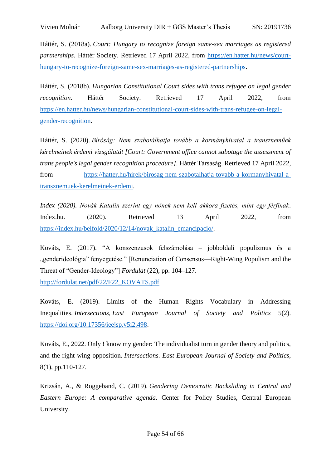Háttér, S. (2018a). *Court: Hungary to recognize foreign same-sex marriages as registered partnerships*. Háttér Society. Retrieved 17 April 2022, from [https://en.hatter.hu/news/court](https://en.hatter.hu/news/court-hungary-to-recognize-foreign-same-sex-marriages-as-registered-partnerships)[hungary-to-recognize-foreign-same-sex-marriages-as-registered-partnerships.](https://en.hatter.hu/news/court-hungary-to-recognize-foreign-same-sex-marriages-as-registered-partnerships)

Háttér, S. (2018b). *Hungarian Constitutional Court sides with trans refugee on legal gender recognition*. Háttér Society. Retrieved 17 April 2022, from [https://en.hatter.hu/news/hungarian-constitutional-court-sides-with-trans-refugee-on-legal](https://en.hatter.hu/news/hungarian-constitutional-court-sides-with-trans-refugee-on-legal-gender-recognition)[gender-recognition.](https://en.hatter.hu/news/hungarian-constitutional-court-sides-with-trans-refugee-on-legal-gender-recognition)

Háttér, S. (2020). *Bíróság: Nem szabotálhatja tovább a kormányhivatal a transzneműek kérelmeinek érdemi vizsgálatát [Court: Government office cannot sabotage the assessment of trans people's legal gender recognition procedure]*. Háttér Társaság. Retrieved 17 April 2022, from [https://hatter.hu/hirek/birosag-nem-szabotalhatja-tovabb-a-kormanyhivatal-a](https://hatter.hu/hirek/birosag-nem-szabotalhatja-tovabb-a-kormanyhivatal-a-transznemuek-kerelmeinek-erdemi)[transznemuek-kerelmeinek-erdemi.](https://hatter.hu/hirek/birosag-nem-szabotalhatja-tovabb-a-kormanyhivatal-a-transznemuek-kerelmeinek-erdemi)

*Index (2020). Novák Katalin szerint egy nőnek nem kell akkora fizetés, mint egy férfinak*. Index.hu. (2020). Retrieved 13 April 2022, from [https://index.hu/belfold/2020/12/14/novak\\_katalin\\_emancipacio/.](https://index.hu/belfold/2020/12/14/novak_katalin_emancipacio/)

Kováts, E. (2017). "A konszenzusok felszámolása – jobboldali populizmus és a "genderideológia" fenyegetése." [Renunciation of Consensus—Right-Wing Populism and the Threat of "Gender-Ideology"] *Fordulat* (22), pp. 104–127. [http://fordulat.net/pdf/22/F22\\_KOVATS.pdf](http://fordulat.net/pdf/22/F22_KOVATS.pdf)

Kováts, E. (2019). Limits of the Human Rights Vocabulary in Addressing Inequalities. *Intersections*, *East European Journal of Society and Politics* 5(2). [https://doi.org/10.17356/ieejsp.v5i2.498.](https://doi.org/10.17356/ieejsp.v5i2.498)

Kováts, E., 2022. Only ! know my gender: The individualist turn in gender theory and politics, and the right-wing opposition. *Intersections. East European Journal of Society and Politics*, 8(1), pp.110-127.

Krizsán, A., & Roggeband, C. (2019). *Gendering Democratic Backsliding in Central and Eastern Europe: A comparative agenda*. Center for Policy Studies, Central European University.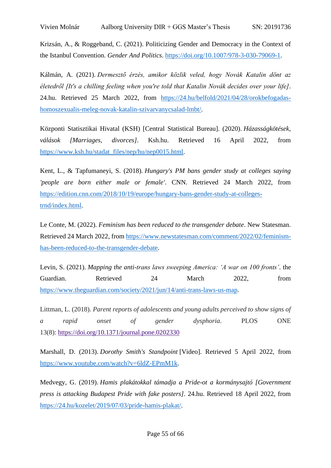Krizsán, A., & Roggeband, C. (2021). Politicizing Gender and Democracy in the Context of the Istanbul Convention. *Gender And Politics*. [https://doi.org/10.1007/978-3-030-79069-1.](https://doi.org/10.1007/978-3-030-79069-1)

Kálmán, A. (2021). *Dermesztő érzés, amikor közlik veled, hogy Novák Katalin dönt az életedről [It's a chilling feeling when you're told that Katalin Novák decides over your life]*. 24.hu. Retrieved 25 March 2022, from [https://24.hu/belfold/2021/04/28/orokbefogadas](https://24.hu/belfold/2021/04/28/orokbefogadas-homoszexualis-meleg-novak-katalin-szivarvanycsalad-lmbt/)[homoszexualis-meleg-novak-katalin-szivarvanycsalad-lmbt/.](https://24.hu/belfold/2021/04/28/orokbefogadas-homoszexualis-meleg-novak-katalin-szivarvanycsalad-lmbt/)

Központi Statisztikai Hivatal (KSH) [Central Statistical Bureau]. (2020). *Házasságkötések, válások [Marriages, divorces]*. Ksh.hu. Retrieved 16 April 2022, from [https://www.ksh.hu/stadat\\_files/nep/hu/nep0015.html.](https://www.ksh.hu/stadat_files/nep/hu/nep0015.html)

Kent, L., & Tapfumaneyi, S. (2018). *Hungary's PM bans gender study at colleges saying 'people are born either male or female'*. CNN. Retrieved 24 March 2022, from [https://edition.cnn.com/2018/10/19/europe/hungary-bans-gender-study-at-colleges](https://edition.cnn.com/2018/10/19/europe/hungary-bans-gender-study-at-colleges-trnd/index.html)[trnd/index.html.](https://edition.cnn.com/2018/10/19/europe/hungary-bans-gender-study-at-colleges-trnd/index.html)

Le Conte, M. (2022). *Feminism has been reduced to the transgender debate*. New Statesman. Retrieved 24 March 2022, from [https://www.newstatesman.com/comment/2022/02/feminism](https://www.newstatesman.com/comment/2022/02/feminism-has-been-reduced-to-the-transgender-debate)[has-been-reduced-to-the-transgender-debate.](https://www.newstatesman.com/comment/2022/02/feminism-has-been-reduced-to-the-transgender-debate)

Levin, S. (2021). *Mapping the anti-trans laws sweeping America: 'A war on 100 fronts'*. the Guardian. Retrieved 24 March 2022, from [https://www.theguardian.com/society/2021/jun/14/anti-trans-laws-us-map.](https://www.theguardian.com/society/2021/jun/14/anti-trans-laws-us-map)

Littman, L. (2018). *Parent reports of adolescents and young adults perceived to show signs of a rapid onset of gender dysphoria*. PLOS ONE 13(8): <https://doi.org/10.1371/journal.pone.0202330>

Marshall, D. (2013). *Dorothy Smith's Standpoint* [Video]. Retrieved 5 April 2022, from [https://www.youtube.com/watch?v=6ldZ-EPmM1k.](https://www.youtube.com/watch?v=6ldZ-EPmM1k)

Medvegy, G. (2019). *Hamis plakátokkal támadja a Pride-ot a kormánysajtó [Government press is attacking Budapest Pride with fake posters]*. 24.hu. Retrieved 18 April 2022, from [https://24.hu/kozelet/2019/07/03/pride-hamis-plakat/.](https://24.hu/kozelet/2019/07/03/pride-hamis-plakat/)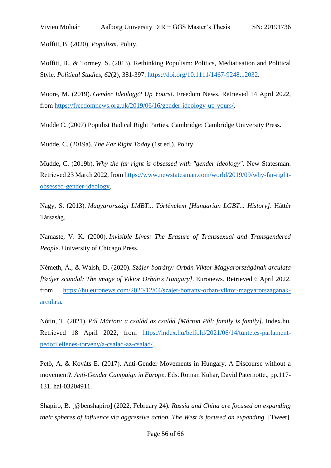Moffitt, B. (2020). *Populism*. Polity.

Moffitt, B., & Tormey, S. (2013). Rethinking Populism: Politics, Mediatisation and Political Style. *Political Studies*, *62*(2), 381-397. [https://doi.org/10.1111/1467-9248.12032.](https://doi.org/10.1111/1467-9248.12032)

Moore, M. (2019). *Gender Ideology? Up Yours!*. Freedom News. Retrieved 14 April 2022, from [https://freedomnews.org.uk/2019/06/16/gender-ideology-up-yours/.](https://freedomnews.org.uk/2019/06/16/gender-ideology-up-yours/)

Mudde C. (2007) Populist Radical Right Parties. Cambridge: Cambridge University Press.

Mudde, C. (2019a). *The Far Right Today* (1st ed.). Polity.

Mudde, C. (2019b). *Why the far right is obsessed with "gender ideology"*. New Statesman. Retrieved 23 March 2022, from [https://www.newstatesman.com/world/2019/09/why-far-right](https://www.newstatesman.com/world/2019/09/why-far-right-obsessed-gender-ideology)[obsessed-gender-ideology.](https://www.newstatesman.com/world/2019/09/why-far-right-obsessed-gender-ideology)

Nagy, S. (2013). *Magyarországi LMBT... Történelem [Hungarian LGBT... History]*. Háttér Társaság.

Namaste, V. K. (2000). *Invisible Lives: The Erasure of Transsexual and Transgendered People*. University of Chicago Press.

Németh, Á., & Walsh, D. (2020). *Szájer-botrány: Orbán Viktor Magyarországának arculata [Szájer scandal: The image of Viktor Orbán's Hungary]*. Euronews. Retrieved 6 April 2022, from [https://hu.euronews.com/2020/12/04/szajer-botrany-orban-viktor-magyarorszaganak](https://hu.euronews.com/2020/12/04/szajer-botrany-orban-viktor-magyarorszaganak-arculata)[arculata.](https://hu.euronews.com/2020/12/04/szajer-botrany-orban-viktor-magyarorszaganak-arculata)

Nótin, T. (2021). *Pál Márton: a család az család [Márton Pál: family is family]*. Index.hu. Retrieved 18 April 2022, from [https://index.hu/belfold/2021/06/14/tuntetes-parlament](https://index.hu/belfold/2021/06/14/tuntetes-parlament-pedofilellenes-torveny/a-csalad-az-csalad/)[pedofilellenes-torveny/a-csalad-az-csalad/.](https://index.hu/belfold/2021/06/14/tuntetes-parlament-pedofilellenes-torveny/a-csalad-az-csalad/)

Petö, A. & Kováts E. (2017). Anti-Gender Movements in Hungary. A Discourse without a movement?. *Anti-Gender Campaign in Europe*. Eds. Roman Kuhar, David Paternotte., pp.117- 131. hal-03204911.

Shapiro, B. [@benshapiro] (2022, February 24). *Russia and China are focused on expanding their spheres of influence via aggressive action. The West is focused on expanding.* [Tweet].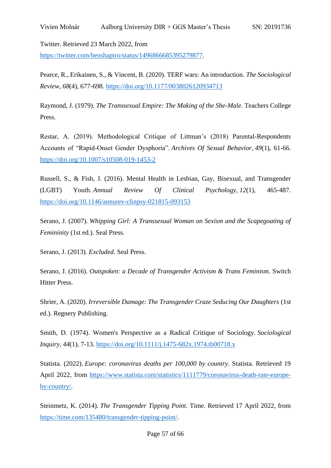Twitter. Retrieved 23 March 2022, from

[https://twitter.com/benshapiro/status/1496866685395279877.](https://twitter.com/benshapiro/status/1496866685395279877)

Pearce, R., Erikainen, S., & Vincent, B. (2020). TERF wars: An introduction. *The Sociological Review*, *68*(4), 677-698.<https://doi.org/10.1177/0038026120934713>

Raymond, J. (1979). *The Transsexual Empire: The Making of the She-Male*. Teachers College Press.

Restar, A. (2019). Methodological Critique of Littman's (2018) Parental-Respondents Accounts of "Rapid-Onset Gender Dysphoria". *Archives Of Sexual Behavior*, *49*(1), 61-66. <https://doi.org/10.1007/s10508-019-1453-2>

Russell, S., & Fish, J. (2016). Mental Health in Lesbian, Gay, Bisexual, and Transgender (LGBT) Youth. *Annual Review Of Clinical Psychology*, *12*(1), 465-487. <https://doi.org/10.1146/annurev-clinpsy-021815-093153>

Serano, J. (2007). *Whipping Girl: A Transsexual Woman on Sexism and the Scapegoating of Femininity* (1st ed.). Seal Press.

Serano, J. (2013). *Excluded*. Seal Press.

Serano, J. (2016). *Outspoken: a Decade of Transgender Activism & Trans Feminism*. Switch Hitter Press.

Shrier, A. (2020). *Irreversible Damage: The Transgender Craze Seducing Our Daughters* (1st ed.). Regnery Publishing.

Smith, D. (1974). Women's Perspective as a Radical Critique of Sociology. *Sociological Inquiry*, *44*(1), 7-13.<https://doi.org/10.1111/j.1475-682x.1974.tb00718.x>

Statista. (2022). *Europe: coronavirus deaths per 100,000 by country*. Statista. Retrieved 19 April 2022, from [https://www.statista.com/statistics/1111779/coronavirus-death-rate-europe](https://www.statista.com/statistics/1111779/coronavirus-death-rate-europe-by-country/)[by-country/.](https://www.statista.com/statistics/1111779/coronavirus-death-rate-europe-by-country/)

Steinmetz, K. (2014). *The Transgender Tipping Point*. Time. Retrieved 17 April 2022, from [https://time.com/135480/transgender-tipping-point/.](https://time.com/135480/transgender-tipping-point/)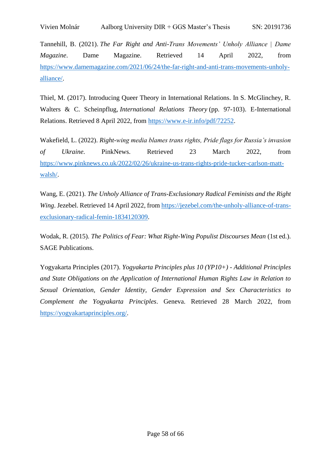Vivien Molnár Aalborg University DIR + GGS Master's Thesis SN: 20191736

Tannehill, B. (2021). *The Far Right and Anti-Trans Movements' Unholy Alliance | Dame Magazine*. Dame Magazine. Retrieved 14 April 2022, from [https://www.damemagazine.com/2021/06/24/the-far-right-and-anti-trans-movements-unholy](https://www.damemagazine.com/2021/06/24/the-far-right-and-anti-trans-movements-unholy-alliance/)[alliance/.](https://www.damemagazine.com/2021/06/24/the-far-right-and-anti-trans-movements-unholy-alliance/)

Thiel, M. (2017). Introducing Queer Theory in International Relations. In S. McGlinchey, R. Walters & C. Scheinpflug, *International Relations Theory* (pp. 97-103). E-International Relations. Retrieved 8 April 2022, from [https://www.e-ir.info/pdf/72252.](https://www.e-ir.info/pdf/72252)

Wakefield, L. (2022). *Right-wing media blames trans rights, Pride flags for Russia's invasion of Ukraine*. PinkNews. Retrieved 23 March 2022, from [https://www.pinknews.co.uk/2022/02/26/ukraine-us-trans-rights-pride-tucker-carlson-matt](https://www.pinknews.co.uk/2022/02/26/ukraine-us-trans-rights-pride-tucker-carlson-matt-walsh/)[walsh/.](https://www.pinknews.co.uk/2022/02/26/ukraine-us-trans-rights-pride-tucker-carlson-matt-walsh/)

Wang, E. (2021). *The Unholy Alliance of Trans-Exclusionary Radical Feminists and the Right Wing*. Jezebel. Retrieved 14 April 2022, from [https://jezebel.com/the-unholy-alliance-of-trans](https://jezebel.com/the-unholy-alliance-of-trans-exclusionary-radical-femin-1834120309)[exclusionary-radical-femin-1834120309.](https://jezebel.com/the-unholy-alliance-of-trans-exclusionary-radical-femin-1834120309)

Wodak, R. (2015). *The Politics of Fear: What Right-Wing Populist Discourses Mean* (1st ed.). SAGE Publications.

Yogyakarta Principles (2017). *Yogyakarta Principles plus 10 (YP10+) - Additional Principles and State Obligations on the Application of International Human Rights Law in Relation to Sexual Orientation, Gender Identity, Gender Expression and Sex Characteristics to Complement the Yogyakarta Principles*. Geneva. Retrieved 28 March 2022, from [https://yogyakartaprinciples.org/.](https://yogyakartaprinciples.org/)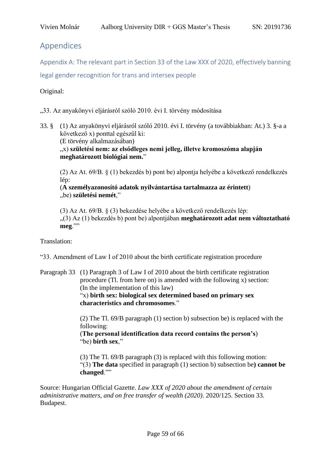# <span id="page-58-0"></span>Appendices

<span id="page-58-1"></span>Appendix A: The relevant part in Section 33 of the Law XXX of 2020, effectively banning

legal gender recognition for trans and intersex people

## Original:

"33. Az anyakönyvi eljárásról szóló 2010. évi I. törvény módosítása

33. § (1) Az anyakönyvi eljárásról szóló 2010. évi I. törvény (a továbbiakban: At.) 3. §-a a következő x) ponttal egészül ki: (E törvény alkalmazásában) "x) **születési nem: az elsődleges nemi jelleg, illetve kromoszóma alapján meghatározott biológiai nem.**"

(2) Az At. 69/B. § (1) bekezdés b) pont be) alpontja helyébe a következő rendelkezés lép:

#### (**A személyazonosító adatok nyilvántartása tartalmazza az érintett**) "be) **születési nemét**,"

(3) Az At. 69/B. § (3) bekezdése helyébe a következő rendelkezés lép: "(3) Az (1) bekezdés b) pont be) alpontjában **meghatározott adat nem változtatható meg**.""

Translation:

"33. Amendment of Law I of 2010 about the birth certificate registration procedure

#### Paragraph 33 (1) Paragraph 3 of Law I of 2010 about the birth certificate registration procedure (Tl. from here on) is amended with the following x) section: (In the implementation of this law) "x) **birth sex: biological sex determined based on primary sex**

**characteristics and chromosomes**."

(2) The Tl. 69/B paragraph (1) section b) subsection be) is replaced with the following:

(**The personal identification data record contains the person's**) "be) **birth sex**,"

(3) The Tl. 69/B paragraph (3) is replaced with this following motion: "(3) **The data** specified in paragraph (1) section b) subsection be**) cannot be changed**.""

Source: Hungarian Official Gazette*. Law XXX of 2020 about the amendment of certain administrative matters, and on free transfer of wealth (2020)*. 2020/125. Section 33. Budapest.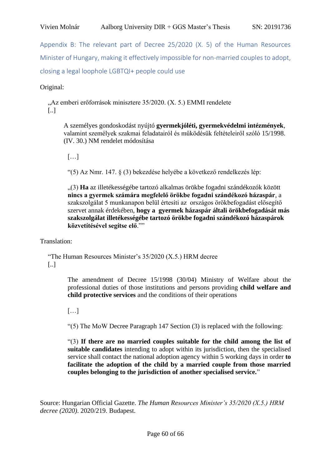<span id="page-59-0"></span>Appendix B: The relevant part of Decree 25/2020 (X. 5) of the Human Resources Minister of Hungary, making it effectively impossible for non-married couples to adopt, closing a legal loophole LGBTQI+ people could use

Original:

"Az emberi erőforrások minisztere 35/2020. (X. 5.) EMMI rendelete [..]

A személyes gondoskodást nyújtó **gyermekjóléti, gyermekvédelmi intézmények**, valamint személyek szakmai feladatairól és működésük feltételeiről szóló 15/1998. (IV. 30.) NM rendelet módosítása

[…]

"(5) Az Nmr. 147. § (3) bekezdése helyébe a következő rendelkezés lép:

"(3) **Ha** az illetékességébe tartozó alkalmas örökbe fogadni szándékozók között **nincs a gyermek számára megfelelő örökbe fogadni szándékozó házaspár**, a szakszolgálat 5 munkanapon belül értesíti az országos örökbefogadást elősegítő szervet annak érdekében, **hogy a gyermek házaspár általi örökbefogadását más szakszolgálat illetékességébe tartozó örökbe fogadni szándékozó házaspárok közvetítésével segítse elő**.""

Translation:

"The Human Resources Minister's 35/2020 (X.5.) HRM decree [..]

> The amendment of Decree 15/1998 (30/04) Ministry of Welfare about the professional duties of those institutions and persons providing **child welfare and child protective services** and the conditions of their operations

[…]

"(5) The MoW Decree Paragraph 147 Section (3) is replaced with the following:

"(3) **If there are no married couples suitable for the child among the list of suitable candidates** intending to adopt within its jurisdiction, then the specialised service shall contact the national adoption agency within 5 working days in order **to facilitate the adoption of the child by a married couple from those married couples belonging to the jurisdiction of another specialised service.**"

Source: Hungarian Official Gazette*. The Human Resources Minister's 35/2020 (X.5.) HRM decree (2020)*. 2020/219. Budapest.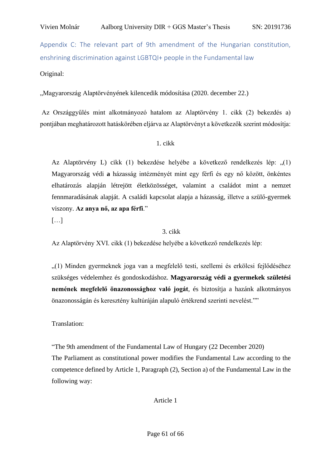<span id="page-60-0"></span>Appendix C: The relevant part of 9th amendment of the Hungarian constitution, enshrining discrimination against LGBTQI+ people in the Fundamental law

Original:

"Magyarország Alaptörvényének kilencedik módosítása (2020. december 22.)

Az Országgyűlés mint alkotmányozó hatalom az Alaptörvény 1. cikk (2) bekezdés a) pontjában meghatározott hatáskörében eljárva az Alaptörvényt a következők szerint módosítja:

# 1. cikk

Az Alaptörvény L) cikk (1) bekezdése helyébe a következő rendelkezés lép: ..(1) Magyarország védi **a** házasság intézményét mint egy férfi és egy nő között, önkéntes elhatározás alapján létrejött életközösséget, valamint a családot mint a nemzet fennmaradásának alapját. A családi kapcsolat alapja a házasság, illetve a szülő-gyermek viszony. **Az anya nő, az apa férfi**."

[…]

## 3. cikk

Az Alaptörvény XVI. cikk (1) bekezdése helyébe a következő rendelkezés lép:

"(1) Minden gyermeknek joga van a megfelelő testi, szellemi és erkölcsi fejlődéséhez szükséges védelemhez és gondoskodáshoz. **Magyarország védi a gyermekek születési nemének megfelelő önazonossághoz való jogát**, és biztosítja a hazánk alkotmányos önazonosságán és keresztény kultúráján alapuló értékrend szerinti nevelést.""

Translation:

"The 9th amendment of the Fundamental Law of Hungary (22 December 2020)

The Parliament as constitutional power modifies the Fundamental Law according to the competence defined by Article 1, Paragraph (2), Section a) of the Fundamental Law in the following way:

Article 1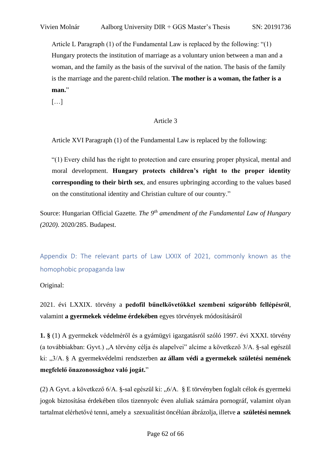Article L Paragraph (1) of the Fundamental Law is replaced by the following: "(1) Hungary protects the institution of marriage as a voluntary union between a man and a woman, and the family as the basis of the survival of the nation. The basis of the family is the marriage and the parent-child relation. **The mother is a woman, the father is a man.**"

[…]

## Article 3

Article XVI Paragraph (1) of the Fundamental Law is replaced by the following:

"(1) Every child has the right to protection and care ensuring proper physical, mental and moral development. **Hungary protects children's right to the proper identity corresponding to their birth sex**, and ensures upbringing according to the values based on the constitutional identity and Christian culture of our country."

Source: Hungarian Official Gazette*. The 9th amendment of the Fundamental Law of Hungary (2020)*. 2020/285. Budapest.

<span id="page-61-0"></span>Appendix D: The relevant parts of Law LXXIX of 2021, commonly known as the homophobic propaganda law

## Original:

2021. évi LXXIX. törvény a **pedofil bűnelkövetőkkel szembeni szigorúbb fellépésről**, valamint **a gyermekek védelme érdekében** egyes törvények módosításáról

**1. §** (1) A gyermekek védelméről és a gyámügyi igazgatásról szóló 1997. évi XXXI. törvény (a továbbiakban: Gyvt.) "A törvény célja és alapelvei" alcíme a következő 3/A. §-sal egészül ki: "3/A. § A gyermekvédelmi rendszerben **az állam védi a gyermekek születési nemének megfelelő önazonossághoz való jogát.**"

(2) A Gyvt. a következő  $6/A$ . §-sal egészül ki: " $6/A$ . § E törvényben foglalt célok és gyermeki jogok biztosítása érdekében tilos tizennyolc éven aluliak számára pornográf, valamint olyan tartalmat elérhetővé tenni, amely a szexualitást öncélúan ábrázolja, illetve **a születési nemnek**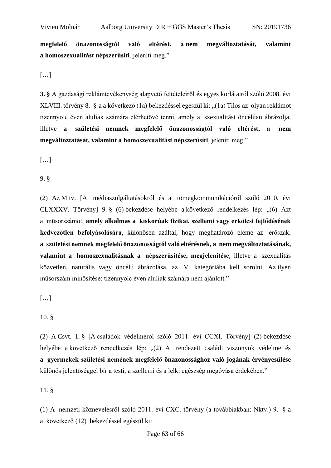**megfelelő önazonosságtól való eltérést, a nem megváltoztatását, valamint a homoszexualitást népszerűsíti**, jeleníti meg."

[…]

**3. §** A gazdasági reklámtevékenység alapvető feltételeiről és egyes korlátairól szóló 2008. évi XLVIII. törvény 8. §-a a következő (1a) bekezdéssel egészül ki: "(1a) Tilos az olyan reklámot tizennyolc éven aluliak számára elérhetővé tenni, amely a szexualitást öncélúan ábrázolja, illetve **a születési nemnek megfelelő önazonosságtól való eltérést, a nem megváltoztatását, valamint a homoszexualitást népszerűsíti**, jeleníti meg."

[…]

9. §

(2) Az Mttv. [A médiaszolgáltatásokról és a tömegkommunikációról szóló 2010. évi CLXXXV. Törvény] 9. § (6) bekezdése helyébe a következő rendelkezés lép: "(6) Azt a műsorszámot, **amely alkalmas a kiskorúak fizikai, szellemi vagy erkölcsi fejlődésének kedvezőtlen befolyásolására**, különösen azáltal, hogy meghatározó eleme az erőszak, **a születési nemnek megfelelő önazonosságtól való eltérésnek, a nem megváltoztatásának, valamint a homoszexualitásnak a népszerűsítése, megjelenítése**, illetve a szexualitás közvetlen, naturális vagy öncélú ábrázolása, az V. kategóriába kell sorolni. Az ilyen műsorszám minősítése: tizennyolc éven aluliak számára nem ajánlott."

[…]

(2) A Csvt. 1. § [A családok védelméről szóló 2011. évi CCXI. Törvény] (2) bekezdése helyébe a következő rendelkezés lép: "(2) A rendezett családi viszonyok védelme és **a gyermekek születési nemének megfelelő önazonossághoz való jogának érvényesülése** különös jelentőséggel bír a testi, a szellemi és a lelki egészség megóvása érdekében."

11. §

(1) A nemzeti köznevelésről szóló 2011. évi CXC. törvény (a továbbiakban: Nktv.) 9. §-a a következő (12) bekezdéssel egészül ki:

<sup>10. §</sup>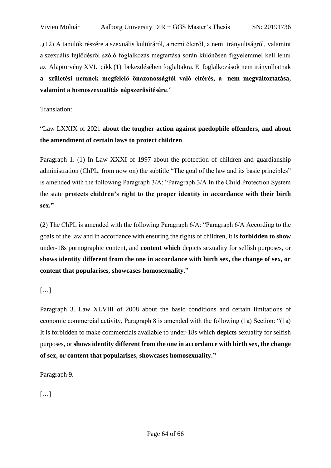"(12) A tanulók részére a szexuális kultúráról, a nemi életről, a nemi irányultságról, valamint a szexuális fejlődésről szóló foglalkozás megtartása során különösen figyelemmel kell lenni az Alaptörvény XVI. cikk (1) bekezdésében foglaltakra. E foglalkozások nem irányulhatnak **a születési nemnek megfelelő önazonosságtól való eltérés, a nem megváltoztatása, valamint a homoszexualitás népszerűsítésére**."

Translation:

# "Law LXXIX of 2021 **about the tougher action against paedophile offenders, and about the amendment of certain laws to protect children**

Paragraph 1. (1) In Law XXXI of 1997 about the protection of children and guardianship administration (ChPL. from now on) the subtitle "The goal of the law and its basic principles" is amended with the following Paragraph 3/A: "Paragraph 3/A In the Child Protection System the state **protects children's right to the proper identity in accordance with their birth sex."**

(2) The ChPL is amended with the following Paragraph 6/A: "Paragraph 6/A According to the goals of the law and in accordance with ensuring the rights of children, it is **forbidden to show** under-18s pornographic content, and **content which** depicts sexuality for selfish purposes, or **shows identity different from the one in accordance with birth sex, the change of sex, or content that popularises, showcases homosexuality**."

 $[\dots]$ 

Paragraph 3. Law XLVIII of 2008 about the basic conditions and certain limitations of economic commercial activity, Paragraph 8 is amended with the following (1a) Section: "(1a) It is forbidden to make commercials available to under-18s which **depicts** sexuality for selfish purposes, or **shows identity different from the one in accordance with birth sex, the change of sex, or content that popularises, showcases homosexuality."**

Paragraph 9.

[…]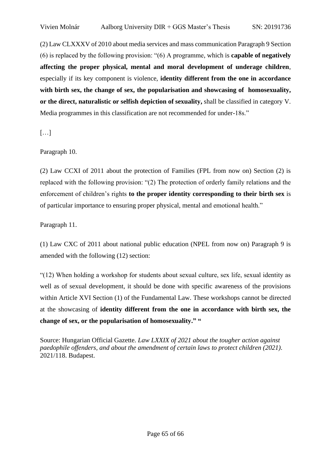(2) Law CLXXXV of 2010 about media services and mass communication Paragraph 9 Section (6) is replaced by the following provision: "(6) A programme, which is **capable of negatively affecting the proper physical, mental and moral development of underage children**, especially if its key component is violence, **identity different from the one in accordance with birth sex, the change of sex, the popularisation and showcasing of homosexuality, or the direct, naturalistic or selfish depiction of sexuality,** shall be classified in category V. Media programmes in this classification are not recommended for under-18s."

[…]

Paragraph 10.

(2) Law CCXI of 2011 about the protection of Families (FPL from now on) Section (2) is replaced with the following provision: "(2) The protection of orderly family relations and the enforcement of children's rights **to the proper identity corresponding to their birth sex** is of particular importance to ensuring proper physical, mental and emotional health."

Paragraph 11.

(1) Law CXC of 2011 about national public education (NPEL from now on) Paragraph 9 is amended with the following (12) section:

"(12) When holding a workshop for students about sexual culture, sex life, sexual identity as well as of sexual development, it should be done with specific awareness of the provisions within Article XVI Section (1) of the Fundamental Law. These workshops cannot be directed at the showcasing of **identity different from the one in accordance with birth sex, the change of sex, or the popularisation of homosexuality." "**

Source: Hungarian Official Gazette*. Law LXXIX of 2021 about the tougher action against paedophile offenders, and about the amendment of certain laws to protect children (2021)*. 2021/118. Budapest.